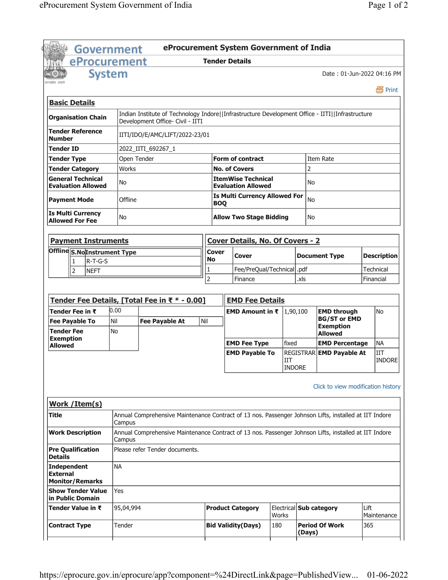|                                                          | Government    |              | eProcurement System Government of India                                                                                             |                       |                                                            |       |                      |                                    |      |                    |
|----------------------------------------------------------|---------------|--------------|-------------------------------------------------------------------------------------------------------------------------------------|-----------------------|------------------------------------------------------------|-------|----------------------|------------------------------------|------|--------------------|
|                                                          | eProcurement  |              |                                                                                                                                     | <b>Tender Details</b> |                                                            |       |                      |                                    |      |                    |
| प्रस्त्रीय जन्म                                          | <b>System</b> |              |                                                                                                                                     |                       |                                                            |       |                      | Date: 01-Jun-2022 04:16 PM         |      |                    |
|                                                          |               |              |                                                                                                                                     |                       |                                                            |       |                      |                                    |      | 昌 Print            |
| <b>Basic Details</b>                                     |               |              |                                                                                                                                     |                       |                                                            |       |                      |                                    |      |                    |
| <b>Organisation Chain</b>                                |               |              | Indian Institute of Technology Indore  Infrastructure Development Office - IITI  Infrastructure<br>Development Office- Civil - IITI |                       |                                                            |       |                      |                                    |      |                    |
| <b>Tender Reference</b><br><b>Number</b>                 |               |              | IITI/IDO/E/AMC/LIFT/2022-23/01                                                                                                      |                       |                                                            |       |                      |                                    |      |                    |
| <b>Tender ID</b>                                         |               |              | 2022_IITI_692267_1                                                                                                                  |                       |                                                            |       |                      |                                    |      |                    |
| <b>Tender Type</b>                                       |               | Open Tender  |                                                                                                                                     |                       | <b>Form of contract</b>                                    |       |                      | Item Rate                          |      |                    |
| <b>Tender Category</b>                                   |               | <b>Works</b> |                                                                                                                                     |                       | <b>No. of Covers</b>                                       |       | $\overline{2}$       |                                    |      |                    |
| <b>General Technical</b><br><b>Evaluation Allowed</b>    |               | No           |                                                                                                                                     |                       | <b>ItemWise Technical</b><br><b>Evaluation Allowed</b>     |       | No                   |                                    |      |                    |
| <b>Payment Mode</b>                                      |               | Offline      |                                                                                                                                     | <b>BOQ</b>            | <b>Is Multi Currency Allowed For</b>                       |       | No                   |                                    |      |                    |
| <b>Is Multi Currency</b><br><b>Allowed For Fee</b>       |               | No           |                                                                                                                                     |                       | <b>Allow Two Stage Bidding</b>                             |       | No                   |                                    |      |                    |
| <b>Payment Instruments</b>                               |               |              |                                                                                                                                     |                       | <b>Cover Details, No. Of Covers - 2</b>                    |       |                      |                                    |      |                    |
|                                                          |               |              |                                                                                                                                     |                       |                                                            |       |                      |                                    |      |                    |
| Offline S.NoInstrument Type                              | $R-T-G-S$     |              |                                                                                                                                     | <b>Cover</b><br>No    | Cover                                                      |       |                      | <b>Document Type</b>               |      | <b>Description</b> |
| 1                                                        |               |              |                                                                                                                                     | 1                     | Fee/PreQual/Technical                                      |       | .pdf                 |                                    |      | Technical          |
| $\overline{2}$                                           | <b>NEFT</b>   |              |                                                                                                                                     | $\overline{2}$        | Finance                                                    |       | .xls                 |                                    |      | Financial          |
| Tender Fee in ₹                                          | 0.00          |              | Tender Fee Details, [Total Fee in ₹ * - 0.00]                                                                                       |                       | <b>EMD Fee Details</b><br><b>EMD Amount in ₹</b>  1,90,100 |       |                      | <b>EMD through</b>                 |      | <b>No</b>          |
| <b>Fee Payable To</b>                                    | Nil           |              | <b>Fee Payable At</b>                                                                                                               | Nil                   |                                                            |       |                      | <b>BG/ST or EMD</b>                |      |                    |
| <b>Tender Fee</b>                                        | No            |              |                                                                                                                                     |                       |                                                            |       |                      | <b>Exemption</b><br><b>Allowed</b> |      |                    |
| <b>Exemption</b>                                         |               |              |                                                                                                                                     |                       | <b>EMD Fee Type</b>                                        |       | fixed                | <b>EMD Percentage</b>              |      | <b>NA</b>          |
| <b>Allowed</b>                                           |               |              |                                                                                                                                     |                       | <b>EMD Payable To</b>                                      |       |                      | REGISTRAR EMD Payable At           |      | <b>IIT</b>         |
|                                                          |               |              |                                                                                                                                     |                       |                                                            |       | IIT<br><b>INDORE</b> |                                    |      | <b>INDORE</b>      |
|                                                          |               |              |                                                                                                                                     |                       |                                                            |       |                      | Click to view modification history |      |                    |
| Work / Item(s)                                           |               |              |                                                                                                                                     |                       |                                                            |       |                      |                                    |      |                    |
| Title                                                    |               | Campus       | Annual Comprehensive Maintenance Contract of 13 nos. Passenger Johnson Lifts, installed at IIT Indore                               |                       |                                                            |       |                      |                                    |      |                    |
| <b>Work Description</b>                                  |               | Campus       | Annual Comprehensive Maintenance Contract of 13 nos. Passenger Johnson Lifts, installed at IIT Indore                               |                       |                                                            |       |                      |                                    |      |                    |
| <b>Pre Qualification</b><br><b>Details</b>               |               |              | Please refer Tender documents.                                                                                                      |                       |                                                            |       |                      |                                    |      |                    |
| Independent<br><b>External</b><br><b>Monitor/Remarks</b> |               | <b>NA</b>    |                                                                                                                                     |                       |                                                            |       |                      |                                    |      |                    |
| <b>Show Tender Value</b><br>in Public Domain             |               | Yes          |                                                                                                                                     |                       |                                                            |       |                      |                                    |      |                    |
| Tender Value in ₹                                        |               | 95,04,994    |                                                                                                                                     |                       | <b>Product Category</b>                                    | Works |                      | Electrical Sub category            | Lift | Maintenance        |
| <b>Contract Type</b>                                     |               | Tender       |                                                                                                                                     |                       | <b>Bid Validity(Days)</b>                                  | 180   | (Days)               | <b>Period Of Work</b>              | 365  |                    |
|                                                          |               |              |                                                                                                                                     |                       |                                                            |       |                      |                                    |      |                    |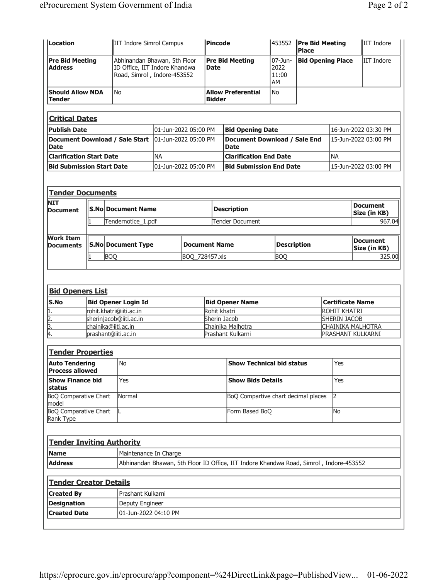| Location                                        |                                               |                            |                           | IIT Indore Simrol Campus                                                                     |                      |             | Pincode       |                                                                                        |                                     | 453552 Pre Bid Meeting<br><b>Place</b> |                                          |  | IIT Indore                      |
|-------------------------------------------------|-----------------------------------------------|----------------------------|---------------------------|----------------------------------------------------------------------------------------------|----------------------|-------------|---------------|----------------------------------------------------------------------------------------|-------------------------------------|----------------------------------------|------------------------------------------|--|---------------------------------|
| <b>Pre Bid Meeting</b><br><b>Address</b>        |                                               |                            |                           | Abhinandan Bhawan, 5th Floor<br>ID Office, IIT Indore Khandwa<br>Road, Simrol, Indore-453552 |                      | <b>Date</b> |               | <b>Pre Bid Meeting</b>                                                                 | $07 - Jun -$<br>2022<br>11:00<br>AM |                                        | <b>Bid Opening Place</b><br>IIT Indore   |  |                                 |
| <b>Should Allow NDA</b><br><b>Tender</b>        |                                               | <b>No</b>                  |                           |                                                                                              |                      |             | <b>Bidder</b> | <b>Allow Preferential</b>                                                              | No                                  |                                        |                                          |  |                                 |
| <b>Critical Dates</b>                           |                                               |                            |                           |                                                                                              |                      |             |               |                                                                                        |                                     |                                        |                                          |  |                                 |
| <b>Publish Date</b>                             |                                               |                            |                           | 01-Jun-2022 05:00 PM                                                                         |                      |             |               | <b>Bid Opening Date</b>                                                                |                                     |                                        |                                          |  | 16-Jun-2022 03:30 PM            |
| Document Download / Sale Start                  |                                               |                            |                           | 01-Jun-2022 05:00 PM                                                                         |                      |             |               | <b>Document Download / Sale End</b>                                                    |                                     |                                        |                                          |  | 15-Jun-2022 03:00 PM            |
| <b>Date</b>                                     |                                               |                            |                           |                                                                                              |                      |             |               | <b>Date</b>                                                                            |                                     |                                        |                                          |  |                                 |
| <b>Clarification Start Date</b>                 |                                               |                            |                           | <b>NA</b>                                                                                    |                      |             |               | <b>Clarification End Date</b>                                                          |                                     |                                        | <b>NA</b>                                |  |                                 |
| <b>Bid Submission Start Date</b>                |                                               |                            |                           | 01-Jun-2022 05:00 PM                                                                         |                      |             |               | <b>Bid Submission End Date</b>                                                         |                                     |                                        |                                          |  | 15-Jun-2022 03:00 PM            |
| <b>Tender Documents</b>                         |                                               |                            |                           |                                                                                              |                      |             |               |                                                                                        |                                     |                                        |                                          |  |                                 |
| <b>NIT</b><br><b>Document</b>                   |                                               |                            | <b>S.No Document Name</b> |                                                                                              |                      |             |               | <b>Description</b>                                                                     |                                     |                                        |                                          |  | <b>Document</b><br>Size (in KB) |
|                                                 |                                               |                            | Tendernotice 1.pdf        |                                                                                              |                      |             |               | Tender Document                                                                        |                                     |                                        |                                          |  | 967.04                          |
| <b>Work Item</b>                                |                                               |                            |                           |                                                                                              |                      |             |               |                                                                                        |                                     |                                        |                                          |  |                                 |
| <b>Documents</b>                                |                                               |                            | <b>S.No Document Type</b> |                                                                                              | <b>Document Name</b> |             |               |                                                                                        | <b>Description</b>                  |                                        |                                          |  | <b>Document</b><br>Size (in KB) |
|                                                 |                                               | <b>BOQ</b>                 |                           |                                                                                              | BOQ 728457.xls       |             |               |                                                                                        | <b>BOQ</b>                          |                                        |                                          |  | 325.00                          |
| <b>Bid Openers List</b><br>S.No                 |                                               | <b>Bid Opener Login Id</b> |                           |                                                                                              |                      |             |               | <b>Bid Opener Name</b>                                                                 |                                     |                                        | <b>Certificate Name</b>                  |  |                                 |
| 1.                                              |                                               | rohit.khatri@iiti.ac.in    |                           |                                                                                              |                      |             | Rohit khatri  |                                                                                        |                                     |                                        | ROHIT KHATRI                             |  |                                 |
| $\overline{2}$ .                                | sherinjacob@iiti.ac.in<br>chainika@iiti.ac.in |                            |                           |                                                                                              |                      |             | Sherin Jacob  | Chainika Malhotra                                                                      |                                     |                                        | <b>SHERIN JACOB</b><br>CHAINIKA MALHOTRA |  |                                 |
| $\frac{3}{4}$                                   | prashant@iiti.ac.in                           |                            |                           |                                                                                              |                      |             |               | Prashant Kulkarni                                                                      |                                     |                                        | <b>PRASHANT KULKARNI</b>                 |  |                                 |
| <b>Tender Properties</b>                        |                                               |                            |                           |                                                                                              |                      |             |               |                                                                                        |                                     |                                        |                                          |  |                                 |
| <b>Auto Tendering</b><br><b>Process allowed</b> |                                               | No                         |                           |                                                                                              |                      |             |               | Show Technical bid status                                                              |                                     |                                        | Yes                                      |  |                                 |
| <b>Show Finance bid</b><br>status               |                                               | Yes                        |                           |                                                                                              |                      |             |               | <b>Show Bids Details</b>                                                               |                                     |                                        | Yes                                      |  |                                 |
| <b>BoQ Comparative Chart</b><br>model           |                                               | Normal                     |                           |                                                                                              |                      |             |               | BoQ Compartive chart decimal places                                                    |                                     |                                        | $\overline{2}$                           |  |                                 |
| <b>BoQ Comparative Chart</b><br>Rank Type       |                                               |                            |                           |                                                                                              |                      |             |               | Form Based BoQ                                                                         |                                     |                                        | <b>No</b>                                |  |                                 |
| <b>Tender Inviting Authority</b>                |                                               |                            |                           |                                                                                              |                      |             |               |                                                                                        |                                     |                                        |                                          |  |                                 |
| <b>Name</b>                                     |                                               |                            |                           | Maintenance In Charge                                                                        |                      |             |               |                                                                                        |                                     |                                        |                                          |  |                                 |
| <b>Address</b>                                  |                                               |                            |                           |                                                                                              |                      |             |               | Abhinandan Bhawan, 5th Floor ID Office, IIT Indore Khandwa Road, Simrol, Indore-453552 |                                     |                                        |                                          |  |                                 |
| <b>Tender Creator Details</b>                   |                                               |                            |                           |                                                                                              |                      |             |               |                                                                                        |                                     |                                        |                                          |  |                                 |
| <b>Created By</b>                               |                                               |                            | Prashant Kulkarni         |                                                                                              |                      |             |               |                                                                                        |                                     |                                        |                                          |  |                                 |
| <b>Designation</b>                              |                                               |                            | Deputy Engineer           |                                                                                              |                      |             |               |                                                                                        |                                     |                                        |                                          |  |                                 |
| <b>Created Date</b>                             |                                               |                            |                           | 01-Jun-2022 04:10 PM                                                                         |                      |             |               |                                                                                        |                                     |                                        |                                          |  |                                 |
|                                                 |                                               |                            |                           |                                                                                              |                      |             |               |                                                                                        |                                     |                                        |                                          |  |                                 |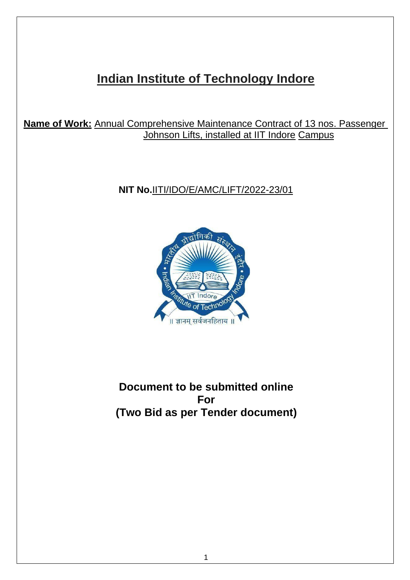# **Indian Institute of Technology Indore**

**Name of Work:** Annual Comprehensive Maintenance Contract of 13 nos. Passenger Johnson Lifts, installed at IIT Indore Campus

# **NIT No.**IITI/IDO/E/AMC/LIFT/2022-23/01



**Document to be submitted online For (Two Bid as per Tender document)**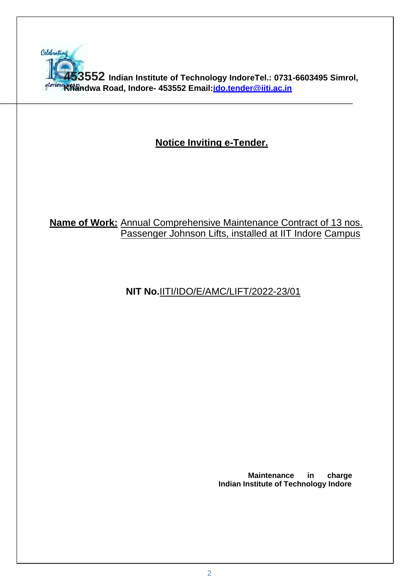

# **Notice Inviting e-Tender.**

# **Name of Work:** Annual Comprehensive Maintenance Contract of 13 nos. Passenger Johnson Lifts, installed at IIT Indore Campus

# **NIT No.**IITI/IDO/E/AMC/LIFT/2022-23/01

**Maintenance in charge Indian Institute of Technology Indore**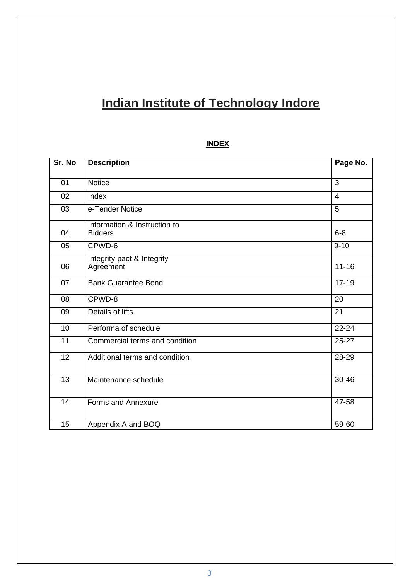# **Indian Institute of Technology Indore**

# **INDEX**

| Sr. No | <b>Description</b>                             | Page No.  |
|--------|------------------------------------------------|-----------|
|        |                                                |           |
| 01     | <b>Notice</b>                                  | 3         |
| 02     | Index                                          | 4         |
| 03     | e-Tender Notice                                | 5         |
| 04     | Information & Instruction to<br><b>Bidders</b> | $6 - 8$   |
| 05     | CPWD-6                                         | $9 - 10$  |
| 06     | Integrity pact & Integrity<br>Agreement        | $11 - 16$ |
| 07     | <b>Bank Guarantee Bond</b>                     | $17 - 19$ |
| 08     | CPWD-8                                         | 20        |
| 09     | Details of lifts.                              | 21        |
| 10     | Performa of schedule                           | $22 - 24$ |
| 11     | Commercial terms and condition                 | $25 - 27$ |
| 12     | Additional terms and condition                 | 28-29     |
| 13     | Maintenance schedule                           | 30-46     |
| 14     | <b>Forms and Annexure</b>                      | 47-58     |
| 15     | Appendix A and BOQ                             | 59-60     |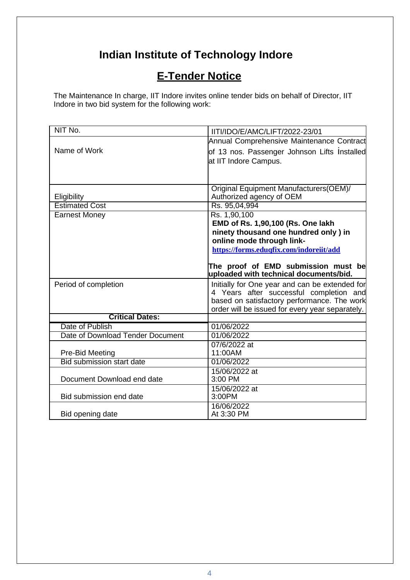# **Indian Institute of Technology Indore**

# **E-Tender Notice**

The Maintenance In charge, IIT Indore invites online tender bids on behalf of Director, IIT Indore in two bid system for the following work:

| NIT No.                                             | IITI/IDO/E/AMC/LIFT/2022-23/01                                                |
|-----------------------------------------------------|-------------------------------------------------------------------------------|
|                                                     | Annual Comprehensive Maintenance Contract                                     |
| Name of Work                                        | of 13 nos. Passenger Johnson Lifts Installed                                  |
|                                                     | at IIT Indore Campus.                                                         |
|                                                     |                                                                               |
|                                                     |                                                                               |
|                                                     | Original Equipment Manufacturers(OEM)/                                        |
| Eligibility                                         | Authorized agency of OEM                                                      |
| <b>Estimated Cost</b>                               | Rs. 95,04,994                                                                 |
| <b>Earnest Money</b>                                | Rs. 1,90,100                                                                  |
|                                                     | EMD of Rs. 1,90,100 (Rs. One lakh                                             |
|                                                     | ninety thousand one hundred only ) in                                         |
|                                                     | online mode through link-                                                     |
|                                                     | https://forms.eduqfix.com/indoreiit/add                                       |
|                                                     |                                                                               |
|                                                     | The proof of EMD submission must be<br>uploaded with technical documents/bid. |
| Period of completion                                | Initially for One year and can be extended for                                |
|                                                     | 4 Years after successful completion and                                       |
|                                                     | based on satisfactory performance. The work                                   |
|                                                     | order will be issued for every year separately.                               |
| <b>Critical Dates:</b>                              |                                                                               |
| Date of Publish                                     | 01/06/2022                                                                    |
| Date of Download Tender Document                    | 01/06/2022                                                                    |
|                                                     | 07/6/2022 at                                                                  |
| Pre-Bid Meeting<br><b>Bid submission start date</b> | 11:00AM<br>01/06/2022                                                         |
|                                                     |                                                                               |
| Document Download end date                          | 15/06/2022 at<br>3:00 PM                                                      |
|                                                     | 15/06/2022 at                                                                 |
| Bid submission end date                             | 3:00PM                                                                        |
|                                                     | 16/06/2022                                                                    |
| Bid opening date                                    | At 3:30 PM                                                                    |
|                                                     |                                                                               |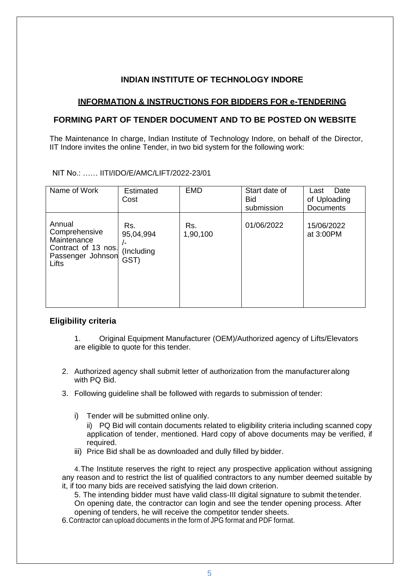# **INDIAN INSTITUTE OF TECHNOLOGY INDORE**

### **INFORMATION & INSTRUCTIONS FOR BIDDERS FOR e-TENDERING**

### **FORMING PART OF TENDER DOCUMENT AND TO BE POSTED ON WEBSITE**

The Maintenance In charge, Indian Institute of Technology Indore, on behalf of the Director, IIT Indore invites the online Tender, in two bid system for the following work:

NIT No.: …… IITI/IDO/E/AMC/LIFT/2022-23/01

| Name of Work                                                                                | <b>Estimated</b><br>Cost                        | <b>EMD</b>      | Start date of<br><b>Bid</b><br>submission | Date<br>Last<br>of Uploading<br><b>Documents</b> |
|---------------------------------------------------------------------------------------------|-------------------------------------------------|-----------------|-------------------------------------------|--------------------------------------------------|
| Annual<br>Comprehensive<br>Maintenance<br>Contract of 13 nos.<br>Passenger Johnson<br>Lifts | Rs.<br>95,04,994<br>$/$ -<br>(Including<br>GST) | Rs.<br>1,90,100 | 01/06/2022                                | 15/06/2022<br>at 3:00PM                          |

#### **Eligibility criteria**

- 1. Original Equipment Manufacturer (OEM)/Authorized agency of Lifts/Elevators are eligible to quote for this tender.
- 2. Authorized agency shall submit letter of authorization from the manufacturer along with PQ Bid.
- 3. Following guideline shall be followed with regards to submission of tender:
	- i) Tender will be submitted online only.
		- ii) PQ Bid will contain documents related to eligibility criteria including scanned copy application of tender, mentioned. Hard copy of above documents may be verified, if required.
	- iii) Price Bid shall be as downloaded and dully filled by bidder.

4.The Institute reserves the right to reject any prospective application without assigning any reason and to restrict the list of qualified contractors to any number deemed suitable by it, if too many bids are received satisfying the laid down criterion.

5. The intending bidder must have valid class-III digital signature to submit thetender. On opening date, the contractor can login and see the tender opening process. After opening of tenders, he will receive the competitor tender sheets.

6.Contractor can upload documents in the form of JPG format and PDF format.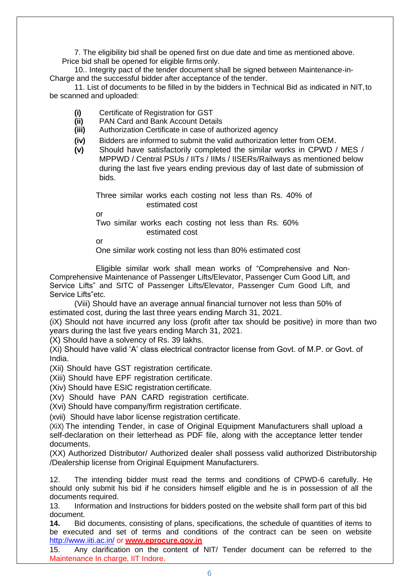7. The eligibility bid shall be opened first on due date and time as mentioned above. Price bid shall be opened for eligible firms only.

10.. Integrity pact of the tender document shall be signed between Maintenance-in-Charge and the successful bidder after acceptance of the tender.

11. List of documents to be filled in by the bidders in Technical Bid as indicated in NIT,to be scanned and uploaded:

- **(i)** Certificate of Registration for GST
- **(ii)** PAN Card and Bank Account Details
- **(iii)** Authorization Certificate in case of authorized agency
- **(iv)** Bidders are informed to submit the valid authorization letter from OEM.
- **(v)** Should have satisfactorily completed the similar works in CPWD / MES / MPPWD / Central PSUs / IITs / IIMs / IISERs/Railways as mentioned below during the last five years ending previous day of last date of submission of bids.

Three similar works each costing not less than Rs. 40% of estimated cost

or

Two similar works each costing not less than Rs. 60% estimated cost

or

One similar work costing not less than 80% estimated cost

Eligible similar work shall mean works of "Comprehensive and Non-Comprehensive Maintenance of Passenger Lifts/Elevator, Passenger Cum Good Lift, and Service Lifts" and SITC of Passenger Lifts/Elevator, Passenger Cum Good Lift, and Service Lifts"etc.

(Viii) Should have an average annual financial turnover not less than 50% of estimated cost, during the last three years ending March 31, 2021.

(iX) Should not have incurred any loss (profit after tax should be positive) in more than two years during the last five years ending March 31, 2021.

(X) Should have a solvency of Rs. 39 lakhs.

(Xi) Should have valid 'A' class electrical contractor license from Govt. of M.P. or Govt. of India.

(Xii) Should have GST registration certificate.

(Xiii) Should have EPF registration certificate.

(Xiv) Should have ESIC registration certificate.

(Xv) Should have PAN CARD registration certificate.

(Xvi) Should have company/firm registration certificate.

(xvii) Should have labor license registration certificate.

(XiX) The intending Tender, in case of Original Equipment Manufacturers shall upload a self-declaration on their letterhead as PDF file, along with the acceptance letter tender documents.

(XX) Authorized Distributor/ Authorized dealer shall possess valid authorized Distributorship /Dealership license from Original Equipment Manufacturers.

12. The intending bidder must read the terms and conditions of CPWD-6 carefully. He should only submit his bid if he considers himself eligible and he is in possession of all the documents required.

13. Information and Instructions for bidders posted on the website shall form part of this bid document.

**14.** Bid documents, consisting of plans, specifications, the schedule of quantities of items to be executed and set of terms and conditions of the contract can be seen on websit[e](http://www.iiti.ac.in/) <http://www.iiti.ac.in/> or **[www.eprocure.gov.in](http://www.eprocure.gov.in/)**

15. Any clarification on the content of NIT/ Tender document can be referred to the Maintenance In charge, IIT Indore.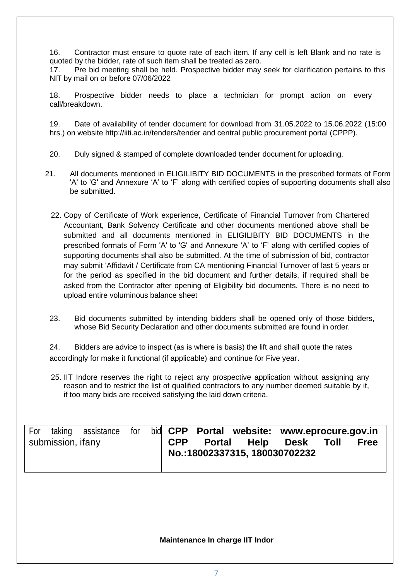16. Contractor must ensure to quote rate of each item. If any cell is left Blank and no rate is quoted by the bidder, rate of such item shall be treated as zero.

17. Pre bid meeting shall be held. Prospective bidder may seek for clarification pertains to this NIT by mail on or before 07/06/2022

18. Prospective bidder needs to place a technician for prompt action on every call/breakdown.

19. Date of availability of tender document for download from 31.05.2022 to 15.06.2022 (15:00 hrs.) on website<http://iiti.ac.in/tenders/tender> and central public procurement portal (CPPP).

- 20. Duly signed & stamped of complete downloaded tender document for uploading.
- 21. All documents mentioned in ELIGILIBITY BID DOCUMENTS in the prescribed formats of Form 'A' to 'G' and Annexure 'A' to 'F' along with certified copies of supporting documents shall also be submitted.
	- 22. Copy of Certificate of Work experience, Certificate of Financial Turnover from Chartered Accountant, Bank Solvency Certificate and other documents mentioned above shall be submitted and all documents mentioned in ELIGILIBITY BID DOCUMENTS in the prescribed formats of Form 'A' to 'G' and Annexure 'A' to 'F' along with certified copies of supporting documents shall also be submitted. At the time of submission of bid, contractor may submit 'Affidavit / Certificate from CA mentioning Financial Turnover of last 5 years or for the period as specified in the bid document and further details, if required shall be asked from the Contractor after opening of Eligibility bid documents. There is no need to upload entire voluminous balance sheet
	- 23. Bid documents submitted by intending bidders shall be opened only of those bidders, whose Bid Security Declaration and other documents submitted are found in order.

24. Bidders are advice to inspect (as is where is basis) the lift and shall quote the rates accordingly for make it functional (if applicable) and continue for Five year.

25. IIT Indore reserves the right to reject any prospective application without assigning any reason and to restrict the list of qualified contractors to any number deemed suitable by it, if too many bids are received satisfying the laid down criteria.

| For |                   | taking assistance for bid CPP Portal website: www.eprocure.gov.in |  |  |                                                            |  |             |
|-----|-------------------|-------------------------------------------------------------------|--|--|------------------------------------------------------------|--|-------------|
|     | submission, ifany |                                                                   |  |  | CPP Portal Help Desk Toll<br>No.:18002337315, 180030702232 |  | <b>Free</b> |
|     |                   |                                                                   |  |  |                                                            |  |             |

# **Maintenance In charge IIT Indor**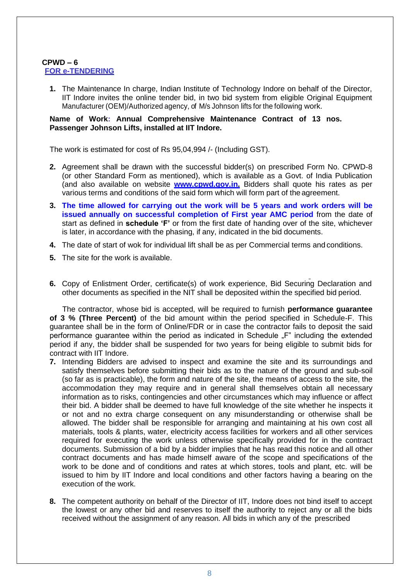#### **CPWD – 6 FOR e-TENDERING**

**1.** The Maintenance In charge, Indian Institute of Technology Indore on behalf of the Director, IIT Indore invites the online tender bid, in two bid system from eligible Original Equipment Manufacturer (OEM)/Authorized agency, of M/s Johnson lifts for the following work.

#### **Name of Work: Annual Comprehensive Maintenance Contract of 13 nos. Passenger Johnson Lifts, installed at IIT Indore.**

The work is estimated for cost of Rs 95,04,994 /- (Including GST).

- **2.** Agreement shall be drawn with the successful bidder(s) on prescribed Form No. CPWD-8 (or other Standard Form as mentioned), which is available as a Govt. of India Publication (and also available on website **[www.cpwd.gov.in.](http://www.cpwd.gov.in/)** Bidders shall quote his rates as per various terms and conditions of the said form which will form part of the agreement.
- **3. The time allowed for carrying out the work will be 5 years and work orders will be issued annually on successful completion of First year AMC period** from the date of start as defined in **schedule 'F'** or from the first date of handing over of the site, whichever is later, in accordance with the phasing, if any, indicated in the bid documents.
- **4.** The date of start of wok for individual lift shall be as per Commercial terms and conditions.
- **5.** The site for the work is available.
- **6.** Copy of Enlistment Order, certificate(s) of work experience, Bid Securing Declaration and other documents as specified in the NIT shall be deposited within the specified bid period.

The contractor, whose bid is accepted, will be required to furnish **performance guarantee of 3 % (Three Percent)** of the bid amount within the period specified in Schedule-F. This guarantee shall be in the form of Online/FDR or in case the contractor fails to deposit the said performance guarantee within the period as indicated in Schedule "F" including the extended period if any, the bidder shall be suspended for two years for being eligible to submit bids for contract with IIT Indore.

- **7.** Intending Bidders are advised to inspect and examine the site and its surroundings and satisfy themselves before submitting their bids as to the nature of the ground and sub-soil (so far as is practicable), the form and nature of the site, the means of access to the site, the accommodation they may require and in general shall themselves obtain all necessary information as to risks, contingencies and other circumstances which may influence or affect their bid. A bidder shall be deemed to have full knowledge of the site whether he inspects it or not and no extra charge consequent on any misunderstanding or otherwise shall be allowed. The bidder shall be responsible for arranging and maintaining at his own cost all materials, tools & plants, water, electricity access facilities for workers and all other services required for executing the work unless otherwise specifically provided for in the contract documents. Submission of a bid by a bidder implies that he has read this notice and all other contract documents and has made himself aware of the scope and specifications of the work to be done and of conditions and rates at which stores, tools and plant, etc. will be issued to him by IIT Indore and local conditions and other factors having a bearing on the execution of the work.
- **8.** The competent authority on behalf of the Director of IIT, Indore does not bind itself to accept the lowest or any other bid and reserves to itself the authority to reject any or all the bids received without the assignment of any reason. All bids in which any of the prescribed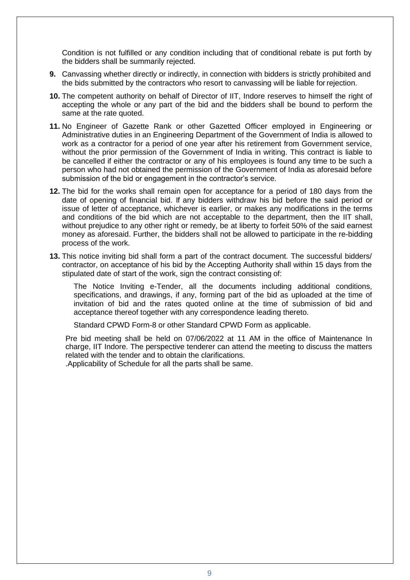Condition is not fulfilled or any condition including that of conditional rebate is put forth by the bidders shall be summarily rejected.

- **9.** Canvassing whether directly or indirectly, in connection with bidders is strictly prohibited and the bids submitted by the contractors who resort to canvassing will be liable for rejection.
- **10.** The competent authority on behalf of Director of IIT, Indore reserves to himself the right of accepting the whole or any part of the bid and the bidders shall be bound to perform the same at the rate quoted.
- **11.** No Engineer of Gazette Rank or other Gazetted Officer employed in Engineering or Administrative duties in an Engineering Department of the Government of India is allowed to work as a contractor for a period of one year after his retirement from Government service, without the prior permission of the Government of India in writing. This contract is liable to be cancelled if either the contractor or any of his employees is found any time to be such a person who had not obtained the permission of the Government of India as aforesaid before submission of the bid or engagement in the contractor's service.
- **12.** The bid for the works shall remain open for acceptance for a period of 180 days from the date of opening of financial bid. If any bidders withdraw his bid before the said period or issue of letter of acceptance, whichever is earlier, or makes any modifications in the terms and conditions of the bid which are not acceptable to the department, then the IIT shall, without prejudice to any other right or remedy, be at liberty to forfeit 50% of the said earnest money as aforesaid. Further, the bidders shall not be allowed to participate in the re-bidding process of the work.
- **13.** This notice inviting bid shall form a part of the contract document. The successful bidders/ contractor, on acceptance of his bid by the Accepting Authority shall within 15 days from the stipulated date of start of the work, sign the contract consisting of:

The Notice Inviting e-Tender, all the documents including additional conditions, specifications, and drawings, if any, forming part of the bid as uploaded at the time of invitation of bid and the rates quoted online at the time of submission of bid and acceptance thereof together with any correspondence leading thereto.

Standard CPWD Form-8 or other Standard CPWD Form as applicable.

Pre bid meeting shall be held on 07/06/2022 at 11 AM in the office of Maintenance In charge, IIT Indore. The perspective tenderer can attend the meeting to discuss the matters related with the tender and to obtain the clarifications.

.Applicability of Schedule for all the parts shall be same.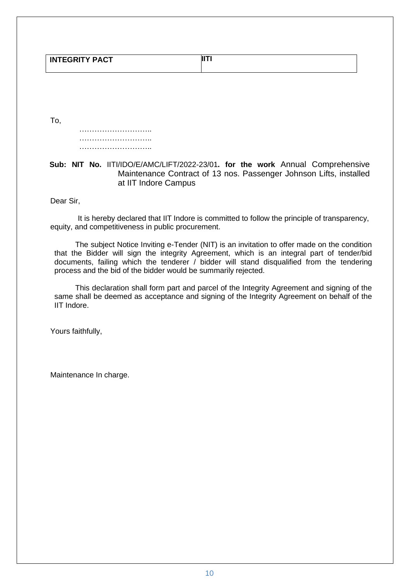|                       | <b>JIT</b> |
|-----------------------|------------|
| <b>INTEGRITY PACT</b> |            |
|                       |            |

To,

……………………………………… ……………………………… ……………………………………

## **Sub: NIT No.** IITI/IDO/E/AMC/LIFT/2022-23/01**. for the work** Annual Comprehensive Maintenance Contract of 13 nos. Passenger Johnson Lifts, installed at IIT Indore Campus

Dear Sir,

It is hereby declared that IIT Indore is committed to follow the principle of transparency, equity, and competitiveness in public procurement.

The subject Notice Inviting e-Tender (NIT) is an invitation to offer made on the condition that the Bidder will sign the integrity Agreement, which is an integral part of tender/bid documents, failing which the tenderer / bidder will stand disqualified from the tendering process and the bid of the bidder would be summarily rejected.

This declaration shall form part and parcel of the Integrity Agreement and signing of the same shall be deemed as acceptance and signing of the Integrity Agreement on behalf of the IIT Indore.

Yours faithfully,

Maintenance In charge.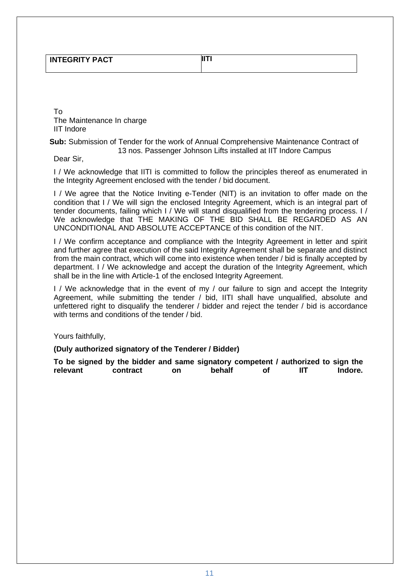| <b>INTEGRITY PACT</b> | IIТ |
|-----------------------|-----|
|                       |     |

To The Maintenance In charge IIT Indore

#### **Sub:** Submission of Tender for the work of Annual Comprehensive Maintenance Contract of 13 nos. Passenger Johnson Lifts installed at IIT Indore Campus

Dear Sir,

I / We acknowledge that IITI is committed to follow the principles thereof as enumerated in the Integrity Agreement enclosed with the tender / bid document.

I / We agree that the Notice Inviting e-Tender (NIT) is an invitation to offer made on the condition that I / We will sign the enclosed Integrity Agreement, which is an integral part of tender documents, failing which I / We will stand disqualified from the tendering process. I / We acknowledge that THE MAKING OF THE BID SHALL BE REGARDED AS AN UNCONDITIONAL AND ABSOLUTE ACCEPTANCE of this condition of the NIT.

I / We confirm acceptance and compliance with the Integrity Agreement in letter and spirit and further agree that execution of the said Integrity Agreement shall be separate and distinct from the main contract, which will come into existence when tender / bid is finally accepted by department. I / We acknowledge and accept the duration of the Integrity Agreement, which shall be in the line with Article-1 of the enclosed Integrity Agreement.

I / We acknowledge that in the event of my / our failure to sign and accept the Integrity Agreement, while submitting the tender / bid, IITI shall have unqualified, absolute and unfettered right to disqualify the tenderer / bidder and reject the tender / bid is accordance with terms and conditions of the tender / bid.

Yours faithfully,

#### **(Duly authorized signatory of the Tenderer / Bidder)**

**To be signed by the bidder and same signatory competent / authorized to sign the relevant contract on behalf of IIT Indore.**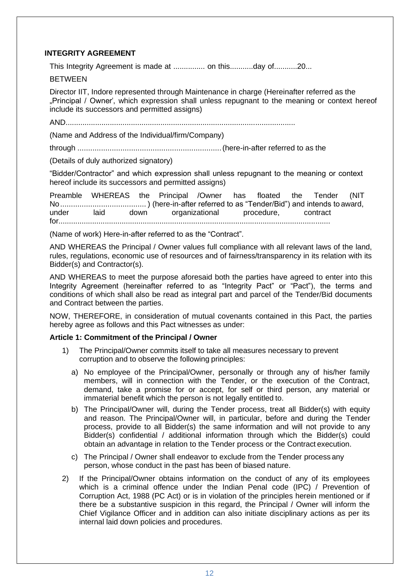### **INTEGRITY AGREEMENT**

This Integrity Agreement is made at ............... on this...........day of...........20...

**BETWEEN** 

Director IIT, Indore represented through Maintenance in charge (Hereinafter referred as the "Principal / Owner", which expression shall unless repugnant to the meaning or context hereof include its successors and permitted assigns)

AND.............................................................................................................

(Name and Address of the Individual/firm/Company)

through ...................................................................(here-in-after referred to as the

(Details of duly authorized signatory)

"Bidder/Contractor" and which expression shall unless repugnant to the meaning or context hereof include its successors and permitted assigns)

Preamble WHEREAS the Principal /Owner has floated the Tender (NIT No........................................ ) (here-in-after referred to as "Tender/Bid") and intends to award, under laid down organizational procedure, contract for.................................................................................................................................

(Name of work) Here-in-after referred to as the "Contract".

AND WHEREAS the Principal / Owner values full compliance with all relevant laws of the land, rules, regulations, economic use of resources and of fairness/transparency in its relation with its Bidder(s) and Contractor(s).

AND WHEREAS to meet the purpose aforesaid both the parties have agreed to enter into this Integrity Agreement (hereinafter referred to as "Integrity Pact" or "Pact"), the terms and conditions of which shall also be read as integral part and parcel of the Tender/Bid documents and Contract between the parties.

NOW, THEREFORE, in consideration of mutual covenants contained in this Pact, the parties hereby agree as follows and this Pact witnesses as under:

#### **Article 1: Commitment of the Principal / Owner**

- 1) The Principal/Owner commits itself to take all measures necessary to prevent corruption and to observe the following principles:
	- a) No employee of the Principal/Owner, personally or through any of his/her family members, will in connection with the Tender, or the execution of the Contract, demand, take a promise for or accept, for self or third person, any material or immaterial benefit which the person is not legally entitled to.
	- b) The Principal/Owner will, during the Tender process, treat all Bidder(s) with equity and reason. The Principal/Owner will, in particular, before and during the Tender process, provide to all Bidder(s) the same information and will not provide to any Bidder(s) confidential / additional information through which the Bidder(s) could obtain an advantage in relation to the Tender process or the Contract execution.
	- c) The Principal / Owner shall endeavor to exclude from the Tender process any person, whose conduct in the past has been of biased nature.
- 2) If the Principal/Owner obtains information on the conduct of any of its employees which is a criminal offence under the Indian Penal code (IPC) / Prevention of Corruption Act, 1988 (PC Act) or is in violation of the principles herein mentioned or if there be a substantive suspicion in this regard, the Principal / Owner will inform the Chief Vigilance Officer and in addition can also initiate disciplinary actions as per its internal laid down policies and procedures.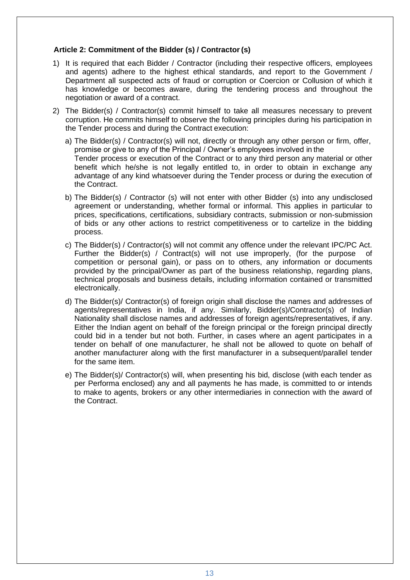### **Article 2: Commitment of the Bidder (s) / Contractor(s)**

- 1) It is required that each Bidder / Contractor (including their respective officers, employees and agents) adhere to the highest ethical standards, and report to the Government / Department all suspected acts of fraud or corruption or Coercion or Collusion of which it has knowledge or becomes aware, during the tendering process and throughout the negotiation or award of a contract.
- 2) The Bidder(s) / Contractor(s) commit himself to take all measures necessary to prevent corruption. He commits himself to observe the following principles during his participation in the Tender process and during the Contract execution:
	- a) The Bidder(s) / Contractor(s) will not, directly or through any other person or firm, offer, promise or give to any of the Principal / Owner's employees involved in the Tender process or execution of the Contract or to any third person any material or other benefit which he/she is not legally entitled to, in order to obtain in exchange any advantage of any kind whatsoever during the Tender process or during the execution of the Contract.
	- b) The Bidder(s) / Contractor (s) will not enter with other Bidder (s) into any undisclosed agreement or understanding, whether formal or informal. This applies in particular to prices, specifications, certifications, subsidiary contracts, submission or non-submission of bids or any other actions to restrict competitiveness or to cartelize in the bidding process.
	- c) The Bidder(s) / Contractor(s) will not commit any offence under the relevant IPC/PC Act. Further the Bidder(s) / Contract(s) will not use improperly, (for the purpose of competition or personal gain), or pass on to others, any information or documents provided by the principal/Owner as part of the business relationship, regarding plans, technical proposals and business details, including information contained or transmitted electronically.
	- d) The Bidder(s)/ Contractor(s) of foreign origin shall disclose the names and addresses of agents/representatives in India, if any. Similarly, Bidder(s)/Contractor(s) of Indian Nationality shall disclose names and addresses of foreign agents/representatives, if any. Either the Indian agent on behalf of the foreign principal or the foreign principal directly could bid in a tender but not both. Further, in cases where an agent participates in a tender on behalf of one manufacturer, he shall not be allowed to quote on behalf of another manufacturer along with the first manufacturer in a subsequent/parallel tender for the same item.
	- e) The Bidder(s)/ Contractor(s) will, when presenting his bid, disclose (with each tender as per Performa enclosed) any and all payments he has made, is committed to or intends to make to agents, brokers or any other intermediaries in connection with the award of the Contract.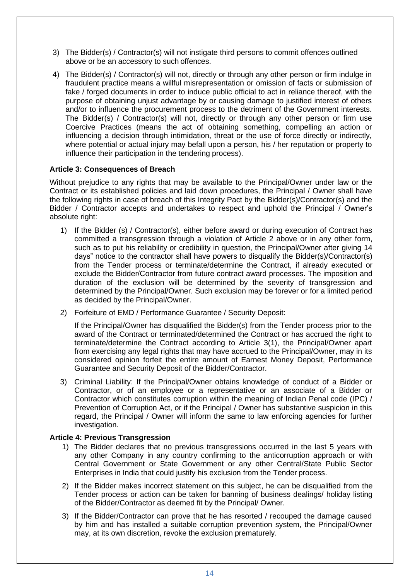- 3) The Bidder(s) / Contractor(s) will not instigate third persons to commit offences outlined above or be an accessory to such offences.
- 4) The Bidder(s) / Contractor(s) will not, directly or through any other person or firm indulge in fraudulent practice means a willful misrepresentation or omission of facts or submission of fake / forged documents in order to induce public official to act in reliance thereof, with the purpose of obtaining unjust advantage by or causing damage to justified interest of others and/or to influence the procurement process to the detriment of the Government interests. The Bidder(s) / Contractor(s) will not, directly or through any other person or firm use Coercive Practices (means the act of obtaining something, compelling an action or influencing a decision through intimidation, threat or the use of force directly or indirectly, where potential or actual injury may befall upon a person, his / her reputation or property to influence their participation in the tendering process).

#### **Article 3: Consequences of Breach**

Without prejudice to any rights that may be available to the Principal/Owner under law or the Contract or its established policies and laid down procedures, the Principal / Owner shall have the following rights in case of breach of this Integrity Pact by the Bidder(s)/Contractor(s) and the Bidder / Contractor accepts and undertakes to respect and uphold the Principal / Owner's absolute right:

- 1) If the Bidder (s) / Contractor(s), either before award or during execution of Contract has committed a transgression through a violation of Article 2 above or in any other form, such as to put his reliability or credibility in question, the Principal/Owner after giving 14 days" notice to the contractor shall have powers to disqualify the Bidder(s)/Contractor(s) from the Tender process or terminate/determine the Contract, if already executed or exclude the Bidder/Contractor from future contract award processes. The imposition and duration of the exclusion will be determined by the severity of transgression and determined by the Principal/Owner. Such exclusion may be forever or for a limited period as decided by the Principal/Owner.
- 2) Forfeiture of EMD / Performance Guarantee / Security Deposit:

If the Principal/Owner has disqualified the Bidder(s) from the Tender process prior to the award of the Contract or terminated/determined the Contract or has accrued the right to terminate/determine the Contract according to Article 3(1), the Principal/Owner apart from exercising any legal rights that may have accrued to the Principal/Owner, may in its considered opinion forfeit the entire amount of Earnest Money Deposit, Performance Guarantee and Security Deposit of the Bidder/Contractor.

3) Criminal Liability: If the Principal/Owner obtains knowledge of conduct of a Bidder or Contractor, or of an employee or a representative or an associate of a Bidder or Contractor which constitutes corruption within the meaning of Indian Penal code (IPC) / Prevention of Corruption Act, or if the Principal / Owner has substantive suspicion in this regard, the Principal / Owner will inform the same to law enforcing agencies for further investigation.

#### **Article 4: Previous Transgression**

- 1) The Bidder declares that no previous transgressions occurred in the last 5 years with any other Company in any country confirming to the anticorruption approach or with Central Government or State Government or any other Central/State Public Sector Enterprises in India that could justify his exclusion from the Tender process.
- 2) If the Bidder makes incorrect statement on this subject, he can be disqualified from the Tender process or action can be taken for banning of business dealings/ holiday listing of the Bidder/Contractor as deemed fit by the Principal/ Owner.
- 3) If the Bidder/Contractor can prove that he has resorted / recouped the damage caused by him and has installed a suitable corruption prevention system, the Principal/Owner may, at its own discretion, revoke the exclusion prematurely.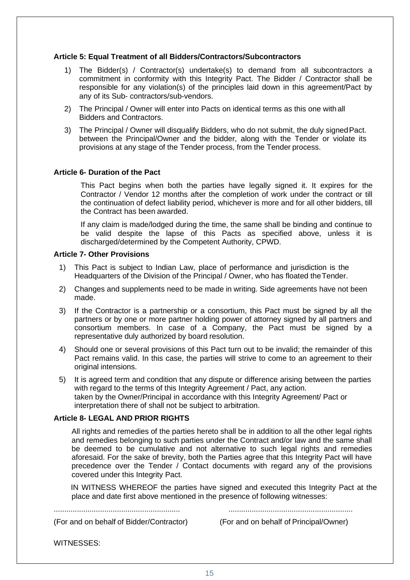#### **Article 5: Equal Treatment of all Bidders/Contractors/Subcontractors**

- 1) The Bidder(s) / Contractor(s) undertake(s) to demand from all subcontractors a commitment in conformity with this Integrity Pact. The Bidder / Contractor shall be responsible for any violation(s) of the principles laid down in this agreement/Pact by any of its Sub- contractors/sub-vendors.
- 2) The Principal / Owner will enter into Pacts on identical terms as this one with all Bidders and Contractors.
- 3) The Principal / Owner will disqualify Bidders, who do not submit, the duly signedPact. between the Principal/Owner and the bidder, along with the Tender or violate its provisions at any stage of the Tender process, from the Tender process.

#### **Article 6- Duration of the Pact**

This Pact begins when both the parties have legally signed it. It expires for the Contractor / Vendor 12 months after the completion of work under the contract or till the continuation of defect liability period, whichever is more and for all other bidders, till the Contract has been awarded.

If any claim is made/lodged during the time, the same shall be binding and continue to be valid despite the lapse of this Pacts as specified above, unless it is discharged/determined by the Competent Authority, CPWD.

#### **Article 7- Other Provisions**

- 1) This Pact is subject to Indian Law, place of performance and jurisdiction is the Headquarters of the Division of the Principal / Owner, who has floated theTender.
- 2) Changes and supplements need to be made in writing. Side agreements have not been made.
- 3) If the Contractor is a partnership or a consortium, this Pact must be signed by all the partners or by one or more partner holding power of attorney signed by all partners and consortium members. In case of a Company, the Pact must be signed by a representative duly authorized by board resolution.
- 4) Should one or several provisions of this Pact turn out to be invalid; the remainder of this Pact remains valid. In this case, the parties will strive to come to an agreement to their original intensions.
- 5) It is agreed term and condition that any dispute or difference arising between the parties with regard to the terms of this Integrity Agreement / Pact, any action. taken by the Owner/Principal in accordance with this Integrity Agreement/ Pact or interpretation there of shall not be subject to arbitration.

#### **Article 8- LEGAL AND PRIOR RIGHTS**

All rights and remedies of the parties hereto shall be in addition to all the other legal rights and remedies belonging to such parties under the Contract and/or law and the same shall be deemed to be cumulative and not alternative to such legal rights and remedies aforesaid. For the sake of brevity, both the Parties agree that this Integrity Pact will have precedence over the Tender / Contact documents with regard any of the provisions covered under this Integrity Pact.

IN WITNESS WHEREOF the parties have signed and executed this Integrity Pact at the place and date first above mentioned in the presence of following witnesses:

(For and on behalf of Bidder/Contractor) (For and on behalf of Principal/Owner)

............................................................ ...........................................................

WITNESSES: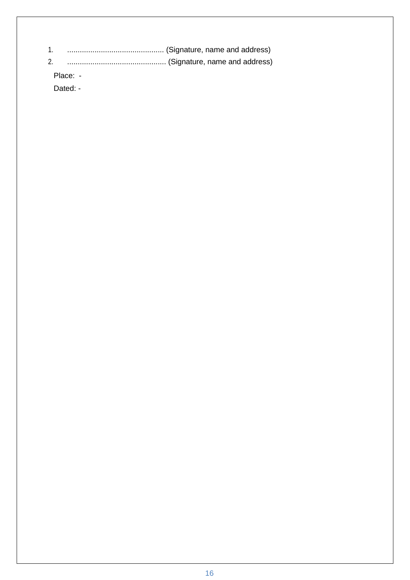| 1. |          |  |
|----|----------|--|
| 2. |          |  |
|    | Place: - |  |
|    | Dated: - |  |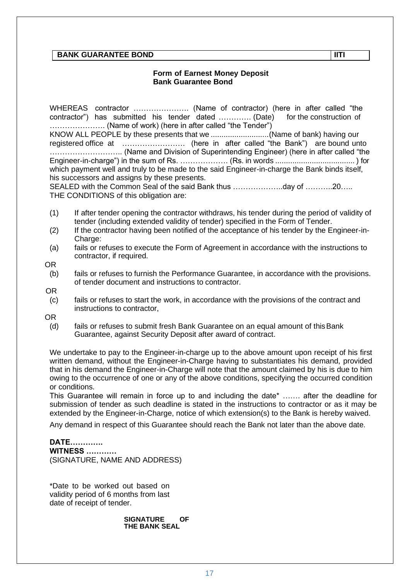### **BANK GUARANTEE BOND IITI**

#### **Form of Earnest Money Deposit Bank Guarantee Bond**

WHEREAS contractor …………………. (Name of contractor) (here in after called "the contractor") has submitted his tender dated ............ (Date) …………………. (Name of work) (here in after called "the Tender") KNOW ALL PEOPLE by these presents that we ...........................(Name of bank) having our registered office at ……………………. (here in after called "the Bank") are bound unto ……………………….. (Name and Division of Superintending Engineer) (here in after called "the Engineer-in-charge") in the sum of Rs. ………………. (Rs. in words ..................................... ) for which payment well and truly to be made to the said Engineer-in-charge the Bank binds itself, his successors and assigns by these presents. SEALED with the Common Seal of the said Bank thus ...........................day of ............20.....

THE CONDITIONS of this obligation are:

- (1) If after tender opening the contractor withdraws, his tender during the period of validity of tender (including extended validity of tender) specified in the Form of Tender.
- (2) If the contractor having been notified of the acceptance of his tender by the Engineer-in-Charge:
- (a) fails or refuses to execute the Form of Agreement in accordance with the instructions to contractor, if required.

OR

- (b) fails or refuses to furnish the Performance Guarantee, in accordance with the provisions. of tender document and instructions to contractor.
- OR
	- (c) fails or refuses to start the work, in accordance with the provisions of the contract and instructions to contractor,

OR

(d) fails or refuses to submit fresh Bank Guarantee on an equal amount of thisBank Guarantee, against Security Deposit after award of contract.

We undertake to pay to the Engineer-in-charge up to the above amount upon receipt of his first written demand, without the Engineer-in-Charge having to substantiates his demand, provided that in his demand the Engineer-in-Charge will note that the amount claimed by his is due to him owing to the occurrence of one or any of the above conditions, specifying the occurred condition or conditions.

This Guarantee will remain in force up to and including the date\* ……. after the deadline for submission of tender as such deadline is stated in the instructions to contractor or as it may be extended by the Engineer-in-Charge, notice of which extension(s) to the Bank is hereby waived.

Any demand in respect of this Guarantee should reach the Bank not later than the above date.

# **DATE………….**

**WITNESS …………** (SIGNATURE, NAME AND ADDRESS)

\*Date to be worked out based on validity period of 6 months from last date of receipt of tender.

> **SIGNATURE OF THE BANK SEAL**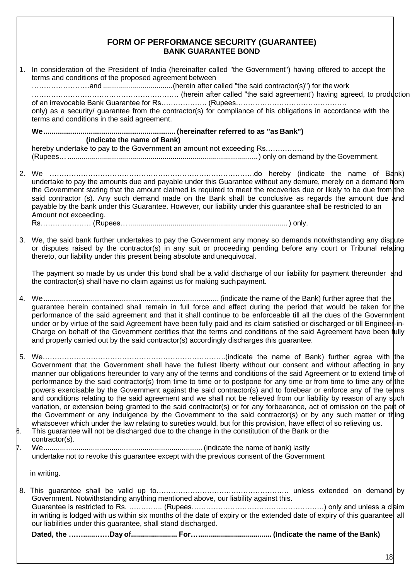## **FORM OF PERFORMANCE SECURITY (GUARANTEE) BANK GUARANTEE BOND**

- 1. In consideration of the President of India (hereinafter called "the Government") having offered to accept the terms and conditions of the proposed agreement between ……………………and ...................................(herein after called "the said contractor(s)") for the work ……………………………………………………. (herein after called "the said agreement') having agreed, to production of an irrevocable Bank Guarantee for Rs………………. (Rupees………………………………………. only) as a security/ guarantee from the contractor(s) for compliance of his obligations in accordance with the terms and conditions in the said agreement. **We................................................................ (hereinafter referred to as "as Bank") (indicate the name of Bank)** hereby undertake to pay to the Government an amount not exceeding Rs…………… (Rupees…................................................................................................) only on demand by the Government. 2. We ………………………………………………………………………….do hereby (indicate the name of Bank) undertake to pay the amounts due and payable under this Guarantee without any demure, merely on a demand from the Government stating that the amount claimed is required to meet the recoveries due or likely to be due from the said contractor (s). Any such demand made on the Bank shall be conclusive as regards the amount due and payable by the bank under this Guarantee. However, our liability under this guarantee shall be restricted to an Amount not exceeding. Rs………………… (Rupees… ................................................................................ ) only.
- 3. We, the said bank further undertakes to pay the Government any money so demands notwithstanding any dispute or disputes raised by the contractor(s) in any suit or proceeding pending before any court or Tribunal relating thereto, our liability under this present being absolute and unequivocal.

The payment so made by us under this bond shall be a valid discharge of our liability for payment thereunder and the contractor(s) shall have no claim against us for making suchpayment.

4. We..................................................................................... (indicate the name of the Bank) further agree that the guarantee herein contained shall remain in full force and effect during the period that would be taken for the performance of the said agreement and that it shall continue to be enforceable till all the dues of the Government under or by virtue of the said Agreement have been fully paid and its claim satisfied or discharged or till Engineer-in-Charge on behalf of the Government certifies that the terms and conditions of the said Agreement have been fully and properly carried out by the said contractor(s) accordingly discharges this guarantee.

- 5. We………………………………………………………………….(indicate the name of Bank) further agree with the Government that the Government shall have the fullest liberty without our consent and without affecting in any manner our obligations hereunder to vary any of the terms and conditions of the said Agreement or to extend time of performance by the said contractor(s) from time to time or to postpone for any time or from time to time any of the powers exercisable by the Government against the said contractor(s) and to forebear or enforce any of the terms and conditions relating to the said agreement and we shall not be relieved from our liability by reason of any such variation, or extension being granted to the said contractor(s) or for any forbearance, act of omission on the part of the Government or any indulgence by the Government to the said contractor(s) or by any such matter or thing whatsoever which under the law relating to sureties would, but for this provision, have effect of so relieving us.
- This guarantee will not be discharged due to the change in the constitution of the Bank or the
- contractor(s).

7. We............................................................................. (indicate the name of bank) lastly

undertake not to revoke this guarantee except with the previous consent of the Government

in writing.

8. This guarantee shall be valid up to………………………………………………. unless extended on demand by Government. Notwithstanding anything mentioned above, our liability against this. Guarantee is restricted to Rs. ………….. (Rupees……………………………………………….) only and unless a claim in writing is lodged with us within six months of the date of expiry or the extended date of expiry of this guarantee, all our liabilities under this guarantee, shall stand discharged. **Dated, the ……......……Day of....................... For…..................................... (Indicate the name of the Bank)**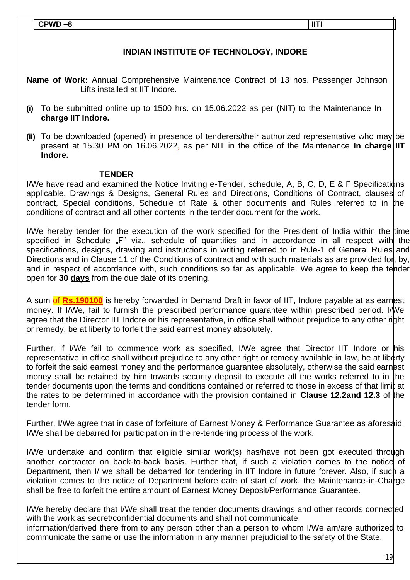## **CPWD –8 IITI**

# **INDIAN INSTITUTE OF TECHNOLOGY, INDORE**

**Name of Work:** Annual Comprehensive Maintenance Contract of 13 nos. Passenger Johnson Lifts installed at IIT Indore.

- **(i)** To be submitted online up to 1500 hrs. on 15.06.2022 as per (NIT) to the Maintenance **In charge IIT Indore.**
- **(ii)** To be downloaded (opened) in presence of tenderers/their authorized representative who may be present at 15.30 PM on 16.06.2022, as per NIT in the office of the Maintenance **In charge** IIT **Indore.**

#### **TENDER**

I/We have read and examined the Notice Inviting e-Tender, schedule, A, B, C, D, E & F Specifications applicable, Drawings & Designs, General Rules and Directions, Conditions of Contract, clauses of contract, Special conditions, Schedule of Rate & other documents and Rules referred to in the conditions of contract and all other contents in the tender document for the work.

I/We hereby tender for the execution of the work specified for the President of India within the time specified in Schedule "F" viz., schedule of quantities and in accordance in all respect with the specifications, designs, drawing and instructions in writing referred to in Rule-1 of General Rules and Directions and in Clause 11 of the Conditions of contract and with such materials as are provided for, by, and in respect of accordance with, such conditions so far as applicable. We agree to keep the tender open for **30 days** from the due date of its opening.

A sum of **Rs.190100** is hereby forwarded in Demand Draft in favor of IIT, Indore payable at as earnest money. If I/We, fail to furnish the prescribed performance guarantee within prescribed period. I/We agree that the Director IIT Indore or his representative, in office shall without prejudice to any other right or remedy, be at liberty to forfeit the said earnest money absolutely.

Further, if I/We fail to commence work as specified, I/We agree that Director IIT Indore or his representative in office shall without prejudice to any other right or remedy available in law, be at liberty to forfeit the said earnest money and the performance guarantee absolutely, otherwise the said earnest money shall be retained by him towards security deposit to execute all the works referred to in the tender documents upon the terms and conditions contained or referred to those in excess of that limit at the rates to be determined in accordance with the provision contained in **Clause 12.2and 12.3** of the tender form.

Further, I/We agree that in case of forfeiture of Earnest Money & Performance Guarantee as aforesaid. I/We shall be debarred for participation in the re-tendering process of the work.

I/We undertake and confirm that eligible similar work(s) has/have not been got executed through another contractor on back-to-back basis. Further that, if such a violation comes to the notice of Department, then I/ we shall be debarred for tendering in IIT Indore in future forever. Also, if such a violation comes to the notice of Department before date of start of work, the Maintenance-in-Charge shall be free to forfeit the entire amount of Earnest Money Deposit/Performance Guarantee.

I/We hereby declare that I/We shall treat the tender documents drawings and other records connected with the work as secret/confidential documents and shall not communicate.

information/derived there from to any person other than a person to whom I/We am/are authorized to communicate the same or use the information in any manner prejudicial to the safety of the State.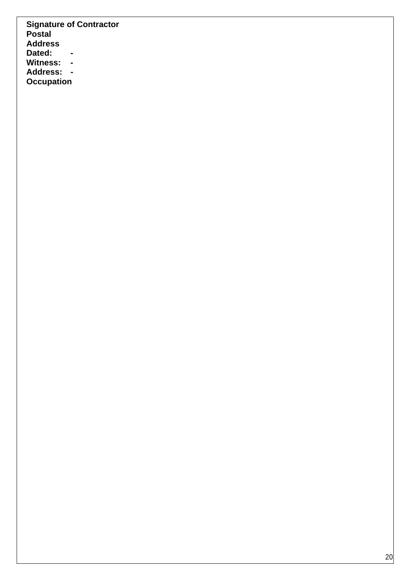**Signature of Contractor Postal Address Dated: - Witness: - Address: - Occupation**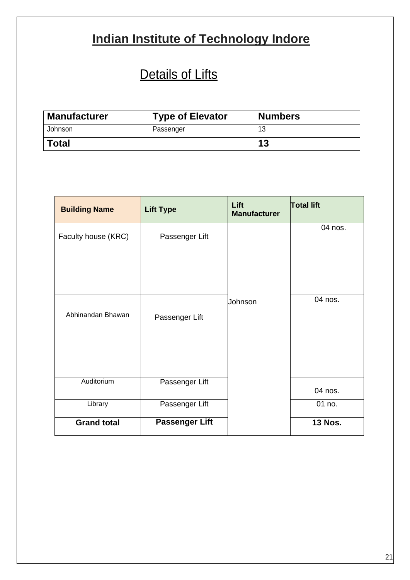# **Indian Institute of Technology Indore**

# Details of Lifts

| <b>Manufacturer</b> | <b>Type of Elevator</b> | <b>Numbers</b> |
|---------------------|-------------------------|----------------|
| Johnson             | Passenger               | 12             |
| <b>Total</b>        |                         | 13             |

| <b>Building Name</b> | <b>Lift Type</b>      | Lift<br><b>Manufacturer</b> | <b>Total lift</b> |
|----------------------|-----------------------|-----------------------------|-------------------|
| Faculty house (KRC)  | Passenger Lift        |                             | 04 nos.           |
|                      |                       |                             |                   |
| Abhinandan Bhawan    | Passenger Lift        | Johnson                     | 04 nos.           |
| Auditorium           | Passenger Lift        |                             | 04 nos.           |
| Library              | Passenger Lift        |                             | 01 no.            |
| <b>Grand total</b>   | <b>Passenger Lift</b> |                             | <b>13 Nos.</b>    |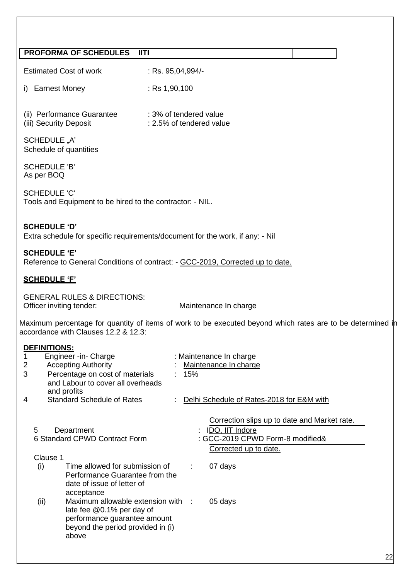## **PROFORMA OF SCHEDULES IITI**

| : Rs. 95,04,994/-<br><b>Estimated Cost of work</b> |
|----------------------------------------------------|
|----------------------------------------------------|

i) Earnest Money : Rs 1,90,100

| (ii) Performance Guarantee | : 3% of tendered value   |
|----------------------------|--------------------------|
| (iii) Security Deposit     | : 2.5% of tendered value |

SCHEDULE "A" Schedule of quantities

SCHEDULE 'B' As per BOQ

SCHEDULE 'C' Tools and Equipment to be hired to the contractor: - NIL.

### **SCHEDULE 'D'** Extra schedule for specific requirements/document for the work, if any: - Nil

#### **SCHEDULE 'E'**

Reference to General Conditions of contract: - GCC-2019, Corrected up to date.

## **SCHEDULE 'F'**

GENERAL RULES & DIRECTIONS: Officer inviting tender: Maintenance In charge

Maximum percentage for quantity of items of work to be executed beyond which rates are to be determined in accordance with Clauses 12.2 & 12.3:

# **DEFINITIONS:**

| 1 | Engineer -in- Charge                                                                                                                                  |     | : Maintenance In charge                      |
|---|-------------------------------------------------------------------------------------------------------------------------------------------------------|-----|----------------------------------------------|
| 2 | <b>Accepting Authority</b>                                                                                                                            |     | Maintenance In charge                        |
| 3 | Percentage on cost of materials<br>and Labour to cover all overheads<br>and profits                                                                   | 15% |                                              |
| 4 | <b>Standard Schedule of Rates</b>                                                                                                                     |     | Delhi Schedule of Rates-2018 for E&M with    |
|   |                                                                                                                                                       |     | Correction slips up to date and Market rate. |
|   | 5<br>Department                                                                                                                                       |     | IDO, IIT Indore                              |
|   | 6 Standard CPWD Contract Form                                                                                                                         |     | : GCC-2019 CPWD Form-8 modified&             |
|   |                                                                                                                                                       |     | Corrected up to date.                        |
|   | Clause 1                                                                                                                                              |     |                                              |
|   | Time allowed for submission of<br>(i)<br>Performance Guarantee from the<br>date of issue of letter of<br>acceptance                                   | ÷   | 07 days                                      |
|   | Maximum allowable extension with :<br>(ii)<br>late fee @0.1% per day of<br>performance guarantee amount<br>beyond the period provided in (i)<br>above |     | 05 days                                      |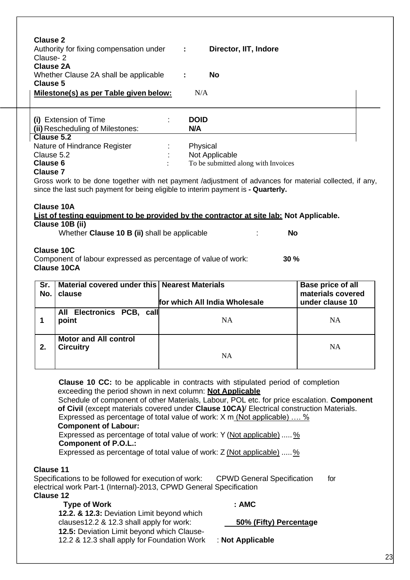| <b>Clause 2</b><br>Authority for fixing compensation under<br>Clause-2<br><b>Clause 2A</b><br>Whether Clause 2A shall be applicable<br>Clause 5<br>Milestone(s) as per Table given below: | Director, IIT, Indore<br>÷<br><b>No</b><br>N/A |  |
|-------------------------------------------------------------------------------------------------------------------------------------------------------------------------------------------|------------------------------------------------|--|
| (i) Extension of Time<br>(ii) Rescheduling of Milestones:<br>Clause 5.2                                                                                                                   | <b>DOID</b><br><b>N/A</b>                      |  |

| Clause 5.2                   |                                     |
|------------------------------|-------------------------------------|
| Nature of Hindrance Register | Physical                            |
| Clause 5.2                   | Not Applicable                      |
| Clause 6                     | To be submitted along with Invoices |
| Clause 7                     |                                     |

# **Clause 7**

Gross work to be done together with net payment /adjustment of advances for material collected, if any, since the last such payment for being eligible to interim payment is **- Quarterly.**

## **Clause 10A**

**List of testing equipment to be provided by the contractor at site lab: Not Applicable. Clause 10B (ii)**

Whether **Clause 10 B (ii)** shall be applicable : **No**

**Clause 10C**

Component of labour expressed as percentage of value of work: **30 % Clause 10CA**

| Sr.<br>No. | Material covered under this   Nearest Materials<br>clause | for which All India Wholesale | Base price of all<br>materials covered<br>under clause 10 |
|------------|-----------------------------------------------------------|-------------------------------|-----------------------------------------------------------|
|            | All Electronics PCB, call<br>point                        | NA                            | NA                                                        |
| 2.         | <b>Motor and All control</b><br><b>Circuitry</b>          | <b>NA</b>                     | <b>NA</b>                                                 |

**Clause 10 CC:** to be applicable in contracts with stipulated period of completion exceeding the period shown in next column: **Not Applicable**

Schedule of component of other Materials, Labour, POL etc. for price escalation. **Component of Civil** (except materials covered under **Clause 10CA)**/ Electrical construction Materials. Expressed as percentage of total value of work: X m (Not applicable) .... %

## **Component of Labour:**

Expressed as percentage of total value of work: Y (Not applicable) ..... % **Component of P.O.L.:**

Expressed as percentage of total value of work:  $Z$  (Not applicable) .....  $\frac{1}{2}$ 

# **Clause 11**

Specifications to be followed for execution of work: CPWD General Specification for electrical work Part-1 (Internal)-2013, CPWD General Specification

# **Clause 12**

#### **Type of Work : AMC**

**12.2. & 12.3:** Deviation Limit beyond which clauses12.2 & 12.3 shall apply for work: **50% (Fifty) Percentage 12.5:** Deviation Limit beyond which Clause-12.2 & 12.3 shall apply for Foundation Work : **Not Applicable**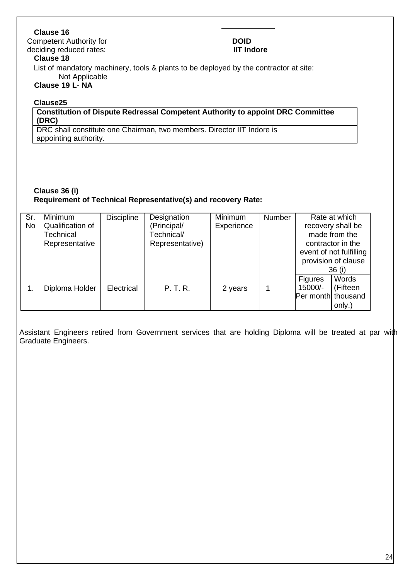# **Clause 16**

Competent Authority for **DOID**<br> **DOID**<br> **COLORER CONTAINS ACTION CONTAINS AND CONTAINS AND THE INCORPORATION OF THE INCORPORATION OF THE INCORPORATION** deciding reduced rates:

#### **Clause 18**

List of mandatory machinery, tools & plants to be deployed by the contractor at site: Not Applicable

# **Clause 19 L- NA**

### **Clause25**

**Constitution of Dispute Redressal Competent Authority to appoint DRC Committee (DRC)**

DRC shall constitute one Chairman, two members. Director IIT Indore is appointing authority.

## **Clause 36 (i) Requirement of Technical Representative(s) and recovery Rate:**

| Sr.<br>No | Minimum<br>Qualification of<br>Technical<br>Representative | <b>Discipline</b> | Designation<br>(Principal/<br>Technical/<br>Representative) | Minimum<br>Experience | <b>Number</b> |                               | Rate at which<br>recovery shall be<br>made from the<br>contractor in the<br>event of not fulfilling<br>provision of clause<br>36 (i) |
|-----------|------------------------------------------------------------|-------------------|-------------------------------------------------------------|-----------------------|---------------|-------------------------------|--------------------------------------------------------------------------------------------------------------------------------------|
|           |                                                            |                   |                                                             |                       |               | <b>Figures</b>                | Words                                                                                                                                |
|           | Diploma Holder                                             | Electrical        | P. T. R.                                                    | 2 years               |               | 15000/-<br>Per month thousand | (Fifteen<br>only.)                                                                                                                   |

Assistant Engineers retired from Government services that are holding Diploma will be treated at par with Graduate Engineers.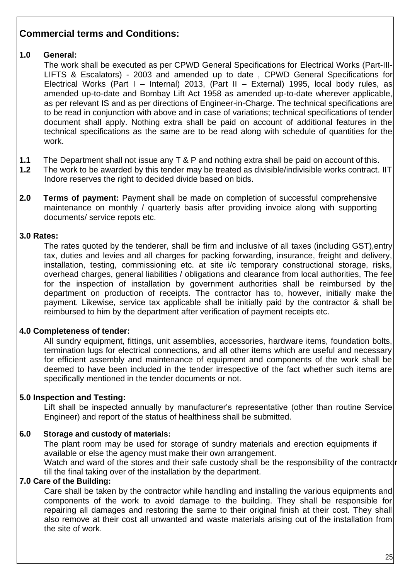# **Commercial terms and Conditions:**

# **1.0 General:**

The work shall be executed as per CPWD General Specifications for [Electrical Works \(Part-III-](https://cpwd.gov.in/Publication/GenSpec_ElectPt3LiftEsl2003.pdf)[LIFTS & Escalators\) -](https://cpwd.gov.in/Publication/GenSpec_ElectPt3LiftEsl2003.pdf) 2003 and amended up to date , CPWD General Specifications for Electrical Works (Part I – Internal) 2013, (Part II – External) 1995, local body rules, as amended up-to-date and Bombay Lift Act 1958 as amended up-to-date wherever applicable, as per relevant IS and as per directions of Engineer-in-Charge. The technical specifications are to be read in conjunction with above and in case of variations; technical specifications of tender document shall apply. Nothing extra shall be paid on account of additional features in the technical specifications as the same are to be read along with schedule of quantities for the work.

- **1.1** The Department shall not issue any T & P and nothing extra shall be paid on account of this.<br>**1.2** The work to be awarded by this tender may be treated as divisible/indivisible works contract.
- The work to be awarded by this tender may be treated as divisible/indivisible works contract. IIT Indore reserves the right to decided divide based on bids.
- **2.0 Terms of payment:** Payment shall be made on completion of successful comprehensive maintenance on monthly / quarterly basis after providing invoice along with supporting documents/ service repots etc.

# **3.0 Rates:**

The rates quoted by the tenderer, shall be firm and inclusive of all taxes (including GST),entry tax, duties and levies and all charges for packing forwarding, insurance, freight and delivery, installation, testing, commissioning etc. at site i/c temporary constructional storage, risks, overhead charges, general liabilities / obligations and clearance from local authorities, The fee for the inspection of installation by government authorities shall be reimbursed by the department on production of receipts. The contractor has to, however, initially make the payment. Likewise, service tax applicable shall be initially paid by the contractor & shall be reimbursed to him by the department after verification of payment receipts etc.

# **4.0 Completeness of tender:**

All sundry equipment, fittings, unit assemblies, accessories, hardware items, foundation bolts, termination lugs for electrical connections, and all other items which are useful and necessary for efficient assembly and maintenance of equipment and components of the work shall be deemed to have been included in the tender irrespective of the fact whether such items are specifically mentioned in the tender documents or not.

# **5.0 Inspection and Testing:**

Lift shall be inspected annually by manufacturer's representative (other than routine Service Engineer) and report of the status of healthiness shall be submitted.

# **6.0 Storage and custody of materials:**

The plant room may be used for storage of sundry materials and erection equipments if available or else the agency must make their own arrangement. Watch and ward of the stores and their safe custody shall be the responsibility of the contractor till the final taking over of the installation by the department.

# **7.0 Care of the Building:**

Care shall be taken by the contractor while handling and installing the various equipments and components of the work to avoid damage to the building. They shall be responsible for repairing all damages and restoring the same to their original finish at their cost. They shall also remove at their cost all unwanted and waste materials arising out of the installation from the site of work.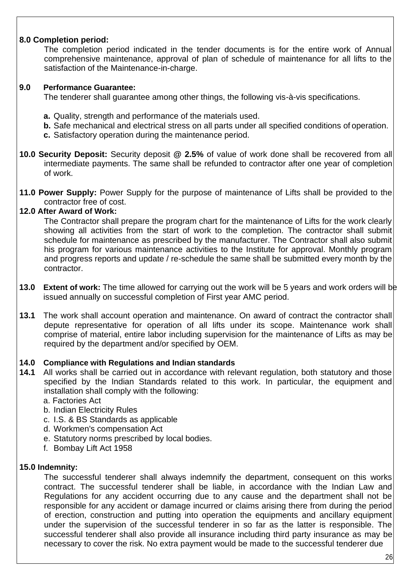# **8.0 Completion period:**

The completion period indicated in the tender documents is for the entire work of Annual comprehensive maintenance, approval of plan of schedule of maintenance for all lifts to the satisfaction of the Maintenance-in-charge.

# **9.0 Performance Guarantee:**

The tenderer shall guarantee among other things, the following vis-à-vis specifications.

- **a.** Quality, strength and performance of the materials used.
- **b.** Safe mechanical and electrical stress on all parts under all specified conditions of operation.
- **c.** Satisfactory operation during the maintenance period.
- **10.0 Security Deposit:** Security deposit **@ 2.5%** of value of work done shall be recovered from all intermediate payments. The same shall be refunded to contractor after one year of completion of work.
- **11.0 Power Supply:** Power Supply for the purpose of maintenance of Lifts shall be provided to the contractor free of cost.

# **12.0 After Award of Work:**

The Contractor shall prepare the program chart for the maintenance of Lifts for the work clearly showing all activities from the start of work to the completion. The contractor shall submit schedule for maintenance as prescribed by the manufacturer. The Contractor shall also submit his program for various maintenance activities to the Institute for approval. Monthly program and progress reports and update / re-schedule the same shall be submitted every month by the contractor.

- **13.0 Extent of work:** The time allowed for carrying out the work will be 5 years and work orders will be issued annually on successful completion of First year AMC period.
- **13.1** The work shall account operation and maintenance. On award of contract the contractor shall depute representative for operation of all lifts under its scope. Maintenance work shall comprise of material, entire labor including supervision for the maintenance of Lifts as may be required by the department and/or specified by OEM.

# **14.0 Compliance with Regulations and Indian standards**

- **14.1** All works shall be carried out in accordance with relevant regulation, both statutory and those specified by the Indian Standards related to this work. In particular, the equipment and installation shall comply with the following:
	- a. Factories Act
	- b. Indian Electricity Rules
	- c. I.S. & BS Standards as applicable
	- d. Workmen's compensation Act
	- e. Statutory norms prescribed by local bodies.
	- f. Bombay Lift Act 1958

#### **15.0 Indemnity:**

The successful tenderer shall always indemnify the department, consequent on this works contract. The successful tenderer shall be liable, in accordance with the Indian Law and Regulations for any accident occurring due to any cause and the department shall not be responsible for any accident or damage incurred or claims arising there from during the period of erection, construction and putting into operation the equipments and ancillary equipment under the supervision of the successful tenderer in so far as the latter is responsible. The successful tenderer shall also provide all insurance including third party insurance as may be necessary to cover the risk. No extra payment would be made to the successful tenderer due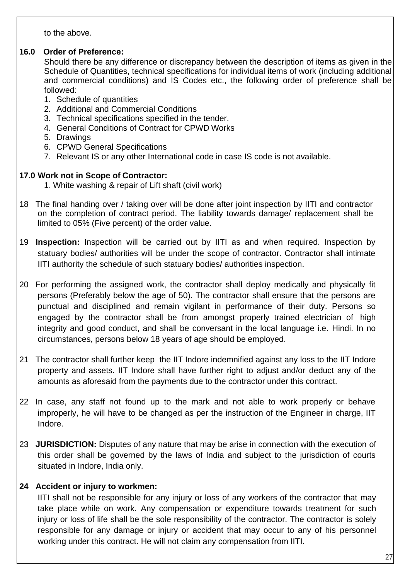to the above.

# **16.0 Order of Preference:**

Should there be any difference or discrepancy between the description of items as given in the Schedule of Quantities, technical specifications for individual items of work (including additional and commercial conditions) and IS Codes etc., the following order of preference shall be followed:

- 1. Schedule of quantities
- 2. Additional and Commercial Conditions
- 3. Technical specifications specified in the tender.
- 4. General Conditions of Contract for CPWD Works
- 5. Drawings
- 6. CPWD General Specifications
- 7. Relevant IS or any other International code in case IS code is not available.

# **17.0 Work not in Scope of Contractor:**

- 1. White washing & repair of Lift shaft (civil work)
- 18 The final handing over / taking over will be done after joint inspection by IITI and contractor on the completion of contract period. The liability towards damage/ replacement shall be limited to 05% (Five percent) of the order value.
- 19 **Inspection:** Inspection will be carried out by IITI as and when required. Inspection by statuary bodies/ authorities will be under the scope of contractor. Contractor shall intimate IITI authority the schedule of such statuary bodies/ authorities inspection.
- 20 For performing the assigned work, the contractor shall deploy medically and physically fit persons (Preferably below the age of 50). The contractor shall ensure that the persons are punctual and disciplined and remain vigilant in performance of their duty. Persons so engaged by the contractor shall be from amongst properly trained electrician of high integrity and good conduct, and shall be conversant in the local language i.e. Hindi. In no circumstances, persons below 18 years of age should be employed.
- 21 The contractor shall further keep the IIT Indore indemnified against any loss to the IIT Indore property and assets. IIT Indore shall have further right to adjust and/or deduct any of the amounts as aforesaid from the payments due to the contractor under this contract.
- 22 In case, any staff not found up to the mark and not able to work properly or behave improperly, he will have to be changed as per the instruction of the Engineer in charge, IIT Indore.
- 23 **JURISDICTION:** Disputes of any nature that may be arise in connection with the execution of this order shall be governed by the laws of India and subject to the jurisdiction of courts situated in Indore, India only.

# **24 Accident or injury to workmen:**

IITI shall not be responsible for any injury or loss of any workers of the contractor that may take place while on work. Any compensation or expenditure towards treatment for such injury or loss of life shall be the sole responsibility of the contractor. The contractor is solely responsible for any damage or injury or accident that may occur to any of his personnel working under this contract. He will not claim any compensation from IITI.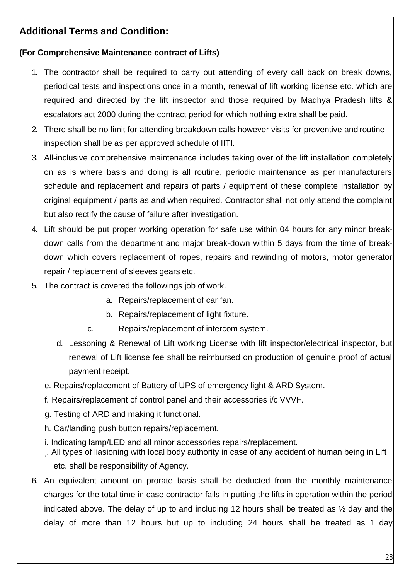# **Additional Terms and Condition:**

# **(For Comprehensive Maintenance contract of Lifts)**

- 1. The contractor shall be required to carry out attending of every call back on break downs, periodical tests and inspections once in a month, renewal of lift working license etc. which are required and directed by the lift inspector and those required by Madhya Pradesh lifts & escalators act 2000 during the contract period for which nothing extra shall be paid.
- 2. There shall be no limit for attending breakdown calls however visits for preventive and routine inspection shall be as per approved schedule of IITI.
- 3. All-inclusive comprehensive maintenance includes taking over of the lift installation completely on as is where basis and doing is all routine, periodic maintenance as per manufacturers schedule and replacement and repairs of parts / equipment of these complete installation by original equipment / parts as and when required. Contractor shall not only attend the complaint but also rectify the cause of failure after investigation.
- 4. Lift should be put proper working operation for safe use within 04 hours for any minor breakdown calls from the department and major break-down within 5 days from the time of breakdown which covers replacement of ropes, repairs and rewinding of motors, motor generator repair / replacement of sleeves gears etc.
- 5. The contract is covered the followings job of work.
	- a. Repairs/replacement of car fan.
	- b. Repairs/replacement of light fixture.
	- c. Repairs/replacement of intercom system.
	- d. Lessoning & Renewal of Lift working License with lift inspector/electrical inspector, but renewal of Lift license fee shall be reimbursed on production of genuine proof of actual payment receipt.
	- e. Repairs/replacement of Battery of UPS of emergency light & ARD System.
	- f. Repairs/replacement of control panel and their accessories i/c VVVF.
	- g. Testing of ARD and making it functional.
	- h. Car/landing push button repairs/replacement.
	- i. Indicating lamp/LED and all minor accessories repairs/replacement.
	- j. All types of liasioning with local body authority in case of any accident of human being in Lift etc. shall be responsibility of Agency.
- 6. An equivalent amount on prorate basis shall be deducted from the monthly maintenance charges for the total time in case contractor fails in putting the lifts in operation within the period indicated above. The delay of up to and including 12 hours shall be treated as  $\frac{1}{2}$  day and the delay of more than 12 hours but up to including 24 hours shall be treated as 1 day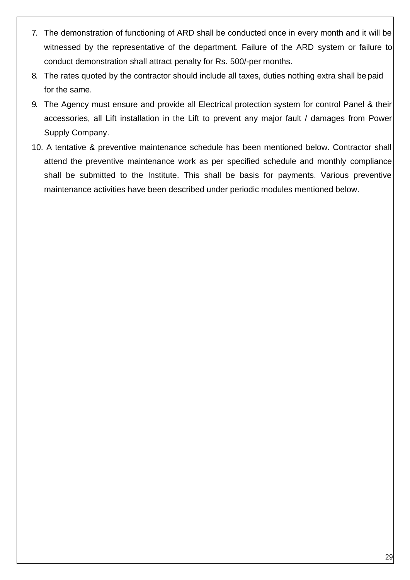- 7. The demonstration of functioning of ARD shall be conducted once in every month and it will be witnessed by the representative of the department. Failure of the ARD system or failure to conduct demonstration shall attract penalty for Rs. 500/-per months.
- 8. The rates quoted by the contractor should include all taxes, duties nothing extra shall be paid for the same.
- 9. The Agency must ensure and provide all Electrical protection system for control Panel & their accessories, all Lift installation in the Lift to prevent any major fault / damages from Power Supply Company.
- 10. A tentative & preventive maintenance schedule has been mentioned below. Contractor shall attend the preventive maintenance work as per specified schedule and monthly compliance shall be submitted to the Institute. This shall be basis for payments. Various preventive maintenance activities have been described under periodic modules mentioned below.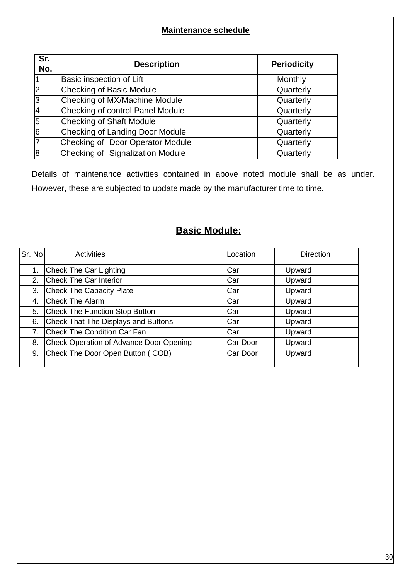# **Maintenance schedule**

| Sr.<br>No.              | <b>Description</b>               | <b>Periodicity</b> |
|-------------------------|----------------------------------|--------------------|
|                         | Basic inspection of Lift         | Monthly            |
| $\overline{2}$          | <b>Checking of Basic Module</b>  | Quarterly          |
| 3                       | Checking of MX/Machine Module    | Quarterly          |
| $\overline{\mathsf{r}}$ | Checking of control Panel Module | Quarterly          |
| 5                       | <b>Checking of Shaft Module</b>  | Quarterly          |
| $\overline{6}$          | Checking of Landing Door Module  | Quarterly          |
| $\overline{7}$          | Checking of Door Operator Module | Quarterly          |
| $\overline{8}$          | Checking of Signalization Module | Quarterly          |

Details of maintenance activities contained in above noted module shall be as under. However, these are subjected to update made by the manufacturer time to time.

# **Basic Module:**

| Sr. No | Activities                              | Location | <b>Direction</b> |
|--------|-----------------------------------------|----------|------------------|
| 1.     | Check The Car Lighting                  | Car      | Upward           |
| 2.     | Check The Car Interior                  | Car      | Upward           |
| 3.     | <b>Check The Capacity Plate</b>         | Car      | Upward           |
| 4.     | <b>Check The Alarm</b>                  | Car      | Upward           |
| 5.     | Check The Function Stop Button          | Car      | Upward           |
| 6.     | Check That The Displays and Buttons     | Car      | Upward           |
| 7.     | Check The Condition Car Fan             | Car      | Upward           |
| 8.     | Check Operation of Advance Door Opening | Car Door | Upward           |
| 9.     | Check The Door Open Button (COB)        | Car Door | Upward           |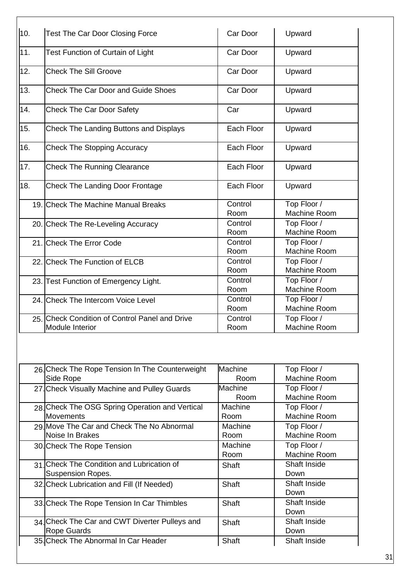| 10. | <b>Test The Car Door Closing Force</b>                                   | Car Door        | Upward                      |
|-----|--------------------------------------------------------------------------|-----------------|-----------------------------|
| 11. | Test Function of Curtain of Light                                        | Car Door        | Upward                      |
| 12. | <b>Check The Sill Groove</b>                                             | Car Door        | Upward                      |
| 13. | <b>Check The Car Door and Guide Shoes</b>                                | Car Door        | Upward                      |
| 14. | <b>Check The Car Door Safety</b>                                         | Car             | Upward                      |
| 15. | <b>Check The Landing Buttons and Displays</b>                            | Each Floor      | Upward                      |
| 16. | <b>Check The Stopping Accuracy</b>                                       | Each Floor      | Upward                      |
| 17. | <b>Check The Running Clearance</b>                                       | Each Floor      | Upward                      |
| 18. | <b>Check The Landing Door Frontage</b>                                   | Each Floor      | Upward                      |
|     | 19. Check The Machine Manual Breaks                                      | Control<br>Room | Top Floor /<br>Machine Room |
|     | 20. Check The Re-Leveling Accuracy                                       | Control<br>Room | Top Floor /<br>Machine Room |
|     | 21. Check The Error Code                                                 | Control<br>Room | Top Floor /<br>Machine Room |
|     | 22. Check The Function of ELCB                                           | Control<br>Room | Top Floor /<br>Machine Room |
|     | 23. Test Function of Emergency Light.                                    | Control<br>Room | Top Floor /<br>Machine Room |
|     | 24. Check The Intercom Voice Level                                       | Control<br>Room | Top Floor /<br>Machine Room |
|     | 25. Check Condition of Control Panel and Drive<br><b>Module Interior</b> | Control<br>Room | Top Floor /<br>Machine Room |

| Machine Room<br>Side Rope<br>Room<br>Machine<br>Top Floor /<br>27. Check Visually Machine and Pulley Guards<br>Machine Room<br>Room<br>28 Check The OSG Spring Operation and Vertical<br>Machine<br>Top Floor /<br>Machine Room<br><b>Movements</b><br>Room<br>29. Move The Car and Check The No Abnormal<br>Machine<br>Top Floor /<br>Noise In Brakes<br>Machine Room<br>Room<br>Machine<br>Top Floor /<br>30. Check The Rope Tension<br>Machine Room<br>Room<br>31 Check The Condition and Lubrication of<br><b>Shaft Inside</b><br>Shaft<br>Suspension Ropes.<br>Down<br><b>Shaft Inside</b><br>Shaft<br>32. Check Lubrication and Fill (If Needed)<br>Down<br><b>Shaft Inside</b><br>Shaft<br>33 Check The Rope Tension In Car Thimbles<br>Down<br>34. Check The Car and CWT Diverter Pulleys and<br><b>Shaft Inside</b><br>Shaft<br>Rope Guards<br>Down<br>35. Check The Abnormal In Car Header<br>Shaft<br>Shaft Inside | 26. Check The Rope Tension In The Counterweight | <b>Machine</b> | Top Floor / |
|-------------------------------------------------------------------------------------------------------------------------------------------------------------------------------------------------------------------------------------------------------------------------------------------------------------------------------------------------------------------------------------------------------------------------------------------------------------------------------------------------------------------------------------------------------------------------------------------------------------------------------------------------------------------------------------------------------------------------------------------------------------------------------------------------------------------------------------------------------------------------------------------------------------------------------|-------------------------------------------------|----------------|-------------|
|                                                                                                                                                                                                                                                                                                                                                                                                                                                                                                                                                                                                                                                                                                                                                                                                                                                                                                                               |                                                 |                |             |
|                                                                                                                                                                                                                                                                                                                                                                                                                                                                                                                                                                                                                                                                                                                                                                                                                                                                                                                               |                                                 |                |             |
|                                                                                                                                                                                                                                                                                                                                                                                                                                                                                                                                                                                                                                                                                                                                                                                                                                                                                                                               |                                                 |                |             |
|                                                                                                                                                                                                                                                                                                                                                                                                                                                                                                                                                                                                                                                                                                                                                                                                                                                                                                                               |                                                 |                |             |
|                                                                                                                                                                                                                                                                                                                                                                                                                                                                                                                                                                                                                                                                                                                                                                                                                                                                                                                               |                                                 |                |             |
|                                                                                                                                                                                                                                                                                                                                                                                                                                                                                                                                                                                                                                                                                                                                                                                                                                                                                                                               |                                                 |                |             |
|                                                                                                                                                                                                                                                                                                                                                                                                                                                                                                                                                                                                                                                                                                                                                                                                                                                                                                                               |                                                 |                |             |
|                                                                                                                                                                                                                                                                                                                                                                                                                                                                                                                                                                                                                                                                                                                                                                                                                                                                                                                               |                                                 |                |             |
|                                                                                                                                                                                                                                                                                                                                                                                                                                                                                                                                                                                                                                                                                                                                                                                                                                                                                                                               |                                                 |                |             |
|                                                                                                                                                                                                                                                                                                                                                                                                                                                                                                                                                                                                                                                                                                                                                                                                                                                                                                                               |                                                 |                |             |
|                                                                                                                                                                                                                                                                                                                                                                                                                                                                                                                                                                                                                                                                                                                                                                                                                                                                                                                               |                                                 |                |             |
|                                                                                                                                                                                                                                                                                                                                                                                                                                                                                                                                                                                                                                                                                                                                                                                                                                                                                                                               |                                                 |                |             |
|                                                                                                                                                                                                                                                                                                                                                                                                                                                                                                                                                                                                                                                                                                                                                                                                                                                                                                                               |                                                 |                |             |
|                                                                                                                                                                                                                                                                                                                                                                                                                                                                                                                                                                                                                                                                                                                                                                                                                                                                                                                               |                                                 |                |             |
|                                                                                                                                                                                                                                                                                                                                                                                                                                                                                                                                                                                                                                                                                                                                                                                                                                                                                                                               |                                                 |                |             |
|                                                                                                                                                                                                                                                                                                                                                                                                                                                                                                                                                                                                                                                                                                                                                                                                                                                                                                                               |                                                 |                |             |
|                                                                                                                                                                                                                                                                                                                                                                                                                                                                                                                                                                                                                                                                                                                                                                                                                                                                                                                               |                                                 |                |             |
|                                                                                                                                                                                                                                                                                                                                                                                                                                                                                                                                                                                                                                                                                                                                                                                                                                                                                                                               |                                                 |                |             |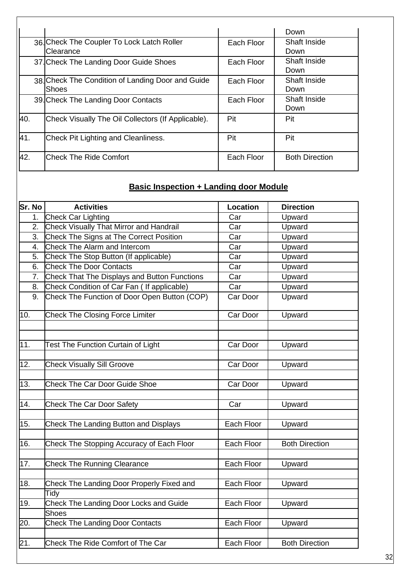|      |                                                           |            | Down                        |
|------|-----------------------------------------------------------|------------|-----------------------------|
|      | 36. Check The Coupler To Lock Latch Roller<br>Clearance   | Each Floor | Shaft Inside<br>Down        |
|      | 37. Check The Landing Door Guide Shoes                    | Each Floor | <b>Shaft Inside</b><br>Down |
|      | 38 Check The Condition of Landing Door and Guide<br>Shoes | Each Floor | Shaft Inside<br>Down        |
|      | 39. Check The Landing Door Contacts                       | Each Floor | Shaft Inside<br>Down        |
| 140. | Check Visually The Oil Collectors (If Applicable).        | Pit        | Pit                         |
| 41.  | Check Pit Lighting and Cleanliness.                       | Pit        | Pit                         |
| 42.  | <b>Check The Ride Comfort</b>                             | Each Floor | <b>Both Direction</b>       |

 $\overline{\phantom{a}}$ 

# **Basic Inspection + Landing door Module**

| Sr. No            | <b>Activities</b>                              | <b>Location</b> | <b>Direction</b>      |
|-------------------|------------------------------------------------|-----------------|-----------------------|
| 1 <sub>1</sub>    | Check Car Lighting                             | Car             | Upward                |
| 2.                | <b>Check Visually That Mirror and Handrail</b> | Car             | Upward                |
| 3.                | Check The Signs at The Correct Position        | Car             | Upward                |
| 4.                | Check The Alarm and Intercom                   | Car             | Upward                |
| 5.                | Check The Stop Button (If applicable)          | Car             | Upward                |
| 6.                | <b>Check The Door Contacts</b>                 | Car             | Upward                |
| 7.                | Check That The Displays and Button Functions   | Car             | Upward                |
| 8.                | Check Condition of Car Fan ( If applicable)    | Car             | Upward                |
| 9.                | Check The Function of Door Open Button (COP)   | Car Door        | Upward                |
| 10.               | <b>Check The Closing Force Limiter</b>         | Car Door        | Upward                |
|                   |                                                |                 |                       |
|                   |                                                |                 |                       |
| 11.               | <b>Test The Function Curtain of Light</b>      | Car Door        | Upward                |
| 12.               | <b>Check Visually Sill Groove</b>              | Car Door        | Upward                |
|                   |                                                |                 |                       |
| 13.               | <b>Check The Car Door Guide Shoe</b>           | Car Door        | Upward                |
|                   |                                                |                 |                       |
| 14.               | <b>Check The Car Door Safety</b>               | Car             | Upward                |
|                   |                                                |                 |                       |
| 15.               | Check The Landing Button and Displays          | Each Floor      | Upward                |
| 16.               | Check The Stopping Accuracy of Each Floor      | Each Floor      | <b>Both Direction</b> |
|                   |                                                |                 |                       |
| 17.               | <b>Check The Running Clearance</b>             | Each Floor      | Upward                |
|                   |                                                |                 |                       |
| 18.               | Check The Landing Door Properly Fixed and      | Each Floor      | Upward                |
|                   | Tidy                                           |                 |                       |
| 19.               | Check The Landing Door Locks and Guide         | Each Floor      | Upward                |
|                   | <b>Shoes</b>                                   |                 |                       |
| 20.               | <b>Check The Landing Door Contacts</b>         | Each Floor      | Upward                |
|                   |                                                |                 |                       |
| $\overline{21}$ . | Check The Ride Comfort of The Car              | Each Floor      | <b>Both Direction</b> |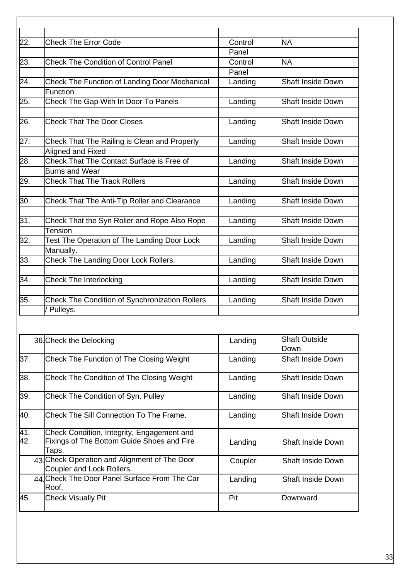| 22. | <b>Check The Error Code</b>                           | Control | <b>NA</b>                |
|-----|-------------------------------------------------------|---------|--------------------------|
|     |                                                       | Panel   |                          |
| 23. | <b>Check The Condition of Control Panel</b>           | Control | <b>NA</b>                |
|     |                                                       | Panel   |                          |
| 24. | <b>Check The Function of Landing Door Mechanical</b>  | Landing | <b>Shaft Inside Down</b> |
|     | Function                                              |         |                          |
| 25. | Check The Gap With In Door To Panels                  | Landing | <b>Shaft Inside Down</b> |
| 26. | <b>Check That The Door Closes</b>                     | Landing | <b>Shaft Inside Down</b> |
|     |                                                       |         |                          |
| 27. | Check That The Railing is Clean and Properly          | Landing | <b>Shaft Inside Down</b> |
|     | Aligned and Fixed                                     |         |                          |
| 28. | Check That The Contact Surface is Free of             | Landing | <b>Shaft Inside Down</b> |
|     | <b>Burns and Wear</b>                                 |         |                          |
| 29. | <b>Check That The Track Rollers</b>                   | Landing | <b>Shaft Inside Down</b> |
|     |                                                       |         |                          |
| 30. | Check That The Anti-Tip Roller and Clearance          | Landing | <b>Shaft Inside Down</b> |
| 31. | Check That the Syn Roller and Rope Also Rope          | Landing | <b>Shaft Inside Down</b> |
|     | Tension                                               |         |                          |
| 32. | Test The Operation of The Landing Door Lock           | Landing | <b>Shaft Inside Down</b> |
|     | Manually.                                             |         |                          |
| 33. | Check The Landing Door Lock Rollers.                  | Landing | <b>Shaft Inside Down</b> |
|     |                                                       |         |                          |
| 34. | <b>Check The Interlocking</b>                         | Landing | <b>Shaft Inside Down</b> |
|     |                                                       |         |                          |
| 35. | <b>Check The Condition of Synchronization Rollers</b> | Landing | <b>Shaft Inside Down</b> |
|     | / Pulleys.                                            |         |                          |

|            | 36. Check the Delocking                                                                           | Landing | <b>Shaft Outside</b><br>Down |
|------------|---------------------------------------------------------------------------------------------------|---------|------------------------------|
| 37.        | Check The Function of The Closing Weight                                                          | Landing | <b>Shaft Inside Down</b>     |
| 38.        | Check The Condition of The Closing Weight                                                         | Landing | <b>Shaft Inside Down</b>     |
| 39.        | Check The Condition of Syn. Pulley                                                                | Landing | <b>Shaft Inside Down</b>     |
| 40.        | Check The Sill Connection To The Frame.                                                           | Landing | <b>Shaft Inside Down</b>     |
| 41.<br>42. | Check Condition, Integrity, Engagement and<br>Fixings of The Bottom Guide Shoes and Fire<br>Taps. | Landing | <b>Shaft Inside Down</b>     |
|            | 43 Check Operation and Alignment of The Door<br>Coupler and Lock Rollers.                         | Coupler | <b>Shaft Inside Down</b>     |
|            | 44 Check The Door Panel Surface From The Car<br>lRoof.                                            | Landing | <b>Shaft Inside Down</b>     |
| 45.        | <b>Check Visually Pit</b>                                                                         | Pit     | Downward                     |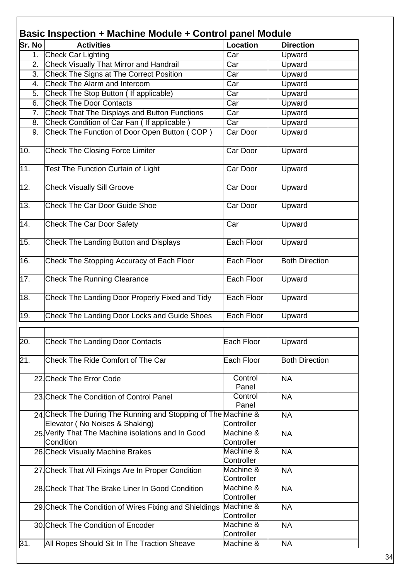| Basic Inspection + Machine Module + Control panel Module |                                                                                                 |                         |                       |  |
|----------------------------------------------------------|-------------------------------------------------------------------------------------------------|-------------------------|-----------------------|--|
| <b>Sr. No</b>                                            | <b>Activities</b>                                                                               | Location                | <b>Direction</b>      |  |
| 1.                                                       | Check Car Lighting                                                                              | Car                     | Upward                |  |
| 2.                                                       | <b>Check Visually That Mirror and Handrail</b>                                                  | Car                     | Upward                |  |
| 3.                                                       | Check The Signs at The Correct Position                                                         | Car                     | Upward                |  |
| 4.                                                       | Check The Alarm and Intercom                                                                    | Car                     | Upward                |  |
| 5.                                                       | Check The Stop Button ( If applicable)                                                          | Car                     | Upward                |  |
| 6.                                                       | <b>Check The Door Contacts</b>                                                                  | Car                     | Upward                |  |
| 7.                                                       | Check That The Displays and Button Functions                                                    | Car                     | Upward                |  |
| 8.                                                       | Check Condition of Car Fan (If applicable)                                                      | Car                     | Upward                |  |
| 9.                                                       | Check The Function of Door Open Button (COP)                                                    | Car Door                | Upward                |  |
| 10.                                                      | <b>Check The Closing Force Limiter</b>                                                          | Car Door                | Upward                |  |
| 11.                                                      | <b>Test The Function Curtain of Light</b>                                                       | Car Door                | Upward                |  |
| 12.                                                      | <b>Check Visually Sill Groove</b>                                                               | Car Door                | Upward                |  |
| $\overline{13}$ .                                        | <b>Check The Car Door Guide Shoe</b>                                                            | Car Door                | Upward                |  |
| 14.                                                      | <b>Check The Car Door Safety</b>                                                                | Car                     | Upward                |  |
| 15.                                                      | <b>Check The Landing Button and Displays</b>                                                    | Each Floor              | Upward                |  |
| 16.                                                      | Check The Stopping Accuracy of Each Floor                                                       | Each Floor              | <b>Both Direction</b> |  |
| 17.                                                      | <b>Check The Running Clearance</b>                                                              | Each Floor              | Upward                |  |
| 18.                                                      | Check The Landing Door Properly Fixed and Tidy                                                  | Each Floor              | Upward                |  |
| 19.                                                      | <b>Check The Landing Door Locks and Guide Shoes</b>                                             | Each Floor              | Upward                |  |
|                                                          |                                                                                                 |                         |                       |  |
|                                                          |                                                                                                 |                         |                       |  |
| 20.                                                      | <b>Check The Landing Door Contacts</b>                                                          | Each Floor              | Upward                |  |
| 21.                                                      | Check The Ride Comfort of The Car                                                               | Each Floor              | <b>Both Direction</b> |  |
|                                                          | 22. Check The Error Code                                                                        | Control<br>Panel        | <b>NA</b>             |  |
|                                                          | 23. Check The Condition of Control Panel                                                        | Control<br>Panel        | <b>NA</b>             |  |
|                                                          | 24 Check The During The Running and Stopping of The Machine &<br>Elevator (No Noises & Shaking) | Controller              | <b>NA</b>             |  |
|                                                          | 25. Verify That The Machine isolations and In Good<br>Condition                                 | Machine &<br>Controller | <b>NA</b>             |  |
|                                                          | 26. Check Visually Machine Brakes                                                               | Machine &<br>Controller | <b>NA</b>             |  |
|                                                          | 27. Check That All Fixings Are In Proper Condition                                              | Machine &<br>Controller | <b>NA</b>             |  |
|                                                          | 28. Check That The Brake Liner In Good Condition                                                | Machine &<br>Controller | <b>NA</b>             |  |
|                                                          | 29. Check The Condition of Wires Fixing and Shieldings                                          | Machine &<br>Controller | <b>NA</b>             |  |
|                                                          | 30. Check The Condition of Encoder                                                              | Machine &<br>Controller | <b>NA</b>             |  |
| 31.                                                      | All Ropes Should Sit In The Traction Sheave                                                     | Machine &               | <b>NA</b>             |  |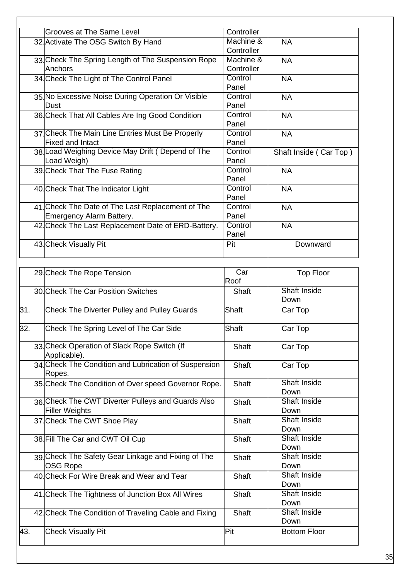| Grooves at The Same Level                           | Controller |                        |
|-----------------------------------------------------|------------|------------------------|
| 32. Activate The OSG Switch By Hand                 | Machine &  | <b>NA</b>              |
|                                                     | Controller |                        |
| 33. Check The Spring Length of The Suspension Rope  | Machine &  | <b>NA</b>              |
| Anchors                                             | Controller |                        |
|                                                     | Control    | <b>NA</b>              |
| 34. Check The Light of The Control Panel            | Panel      |                        |
|                                                     |            |                        |
| 35. No Excessive Noise During Operation Or Visible  | Control    | <b>NA</b>              |
| <b>D</b> ust                                        | Panel      |                        |
| 36. Check That All Cables Are Ing Good Condition    | Control    | <b>NA</b>              |
|                                                     | Panel      |                        |
| 37 Check The Main Line Entries Must Be Properly     | Control    | <b>NA</b>              |
| <b>Fixed and Intact</b>                             | Panel      |                        |
| 38. Load Weighing Device May Drift (Depend of The   | Control    | Shaft Inside (Car Top) |
| Load Weigh)                                         | Panel      |                        |
| 39. Check That The Fuse Rating                      | Control    | <b>NA</b>              |
|                                                     | Panel      |                        |
| 40. Check That The Indicator Light                  | Control    | <b>NA</b>              |
|                                                     | Panel      |                        |
| 41 Check The Date of The Last Replacement of The    | Control    | <b>NA</b>              |
| Emergency Alarm Battery.                            | Panel      |                        |
| 42. Check The Last Replacement Date of ERD-Battery. | Control    | <b>NA</b>              |
|                                                     | Panel      |                        |
| 43. Check Visually Pit                              | Pit        | Downward               |
|                                                     |            |                        |

Г

|     | 29. Check The Rope Tension                                     | Car          | <b>Top Floor</b>    |
|-----|----------------------------------------------------------------|--------------|---------------------|
|     |                                                                | Roof         |                     |
|     | 30. Check The Car Position Switches                            | <b>Shaft</b> | <b>Shaft Inside</b> |
|     |                                                                |              | Down                |
| 31. | <b>Check The Diverter Pulley and Pulley Guards</b>             | Shaft        | Car Top             |
| 32. | Check The Spring Level of The Car Side                         | Shaft        | Car Top             |
|     | 33. Check Operation of Slack Rope Switch (If                   | <b>Shaft</b> | Car Top             |
|     | Applicable).                                                   |              |                     |
|     | 34 Check The Condition and Lubrication of Suspension<br>Ropes. | <b>Shaft</b> | Car Top             |
|     | 35. Check The Condition of Over speed Governor Rope.           | Shaft        | Shaft Inside        |
|     |                                                                |              | Down                |
|     | 36. Check The CWT Diverter Pulleys and Guards Also             | <b>Shaft</b> | <b>Shaft Inside</b> |
|     | <b>Filler Weights</b>                                          |              | Down                |
|     | 37. Check The CWT Shoe Play                                    | <b>Shaft</b> | Shaft Inside        |
|     |                                                                |              | Down                |
|     | 38. Fill The Car and CWT Oil Cup                               | <b>Shaft</b> | <b>Shaft Inside</b> |
|     |                                                                |              | Down                |
|     | 39. Check The Safety Gear Linkage and Fixing of The            | <b>Shaft</b> | Shaft Inside        |
|     | <b>OSG Rope</b>                                                |              | Down                |
|     | 40. Check For Wire Break and Wear and Tear                     | <b>Shaft</b> | Shaft Inside        |
|     |                                                                |              | Down                |
|     | 41. Check The Tightness of Junction Box All Wires              | <b>Shaft</b> | Shaft Inside        |
|     |                                                                |              | Down                |
|     | 42. Check The Condition of Traveling Cable and Fixing          | <b>Shaft</b> | Shaft Inside        |
|     |                                                                |              | Down                |
| 43. | <b>Check Visually Pit</b>                                      | Pit          | <b>Bottom Floor</b> |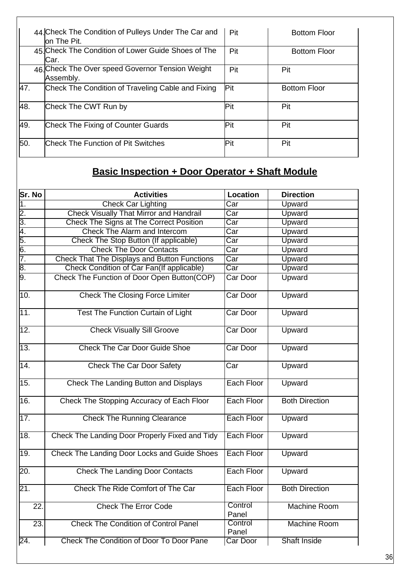|     | 44 Check The Condition of Pulleys Under The Car and<br>on The Pit. | Pit         | <b>Bottom Floor</b> |
|-----|--------------------------------------------------------------------|-------------|---------------------|
|     | 45 Check The Condition of Lower Guide Shoes of The<br>Car.         | Pit         | <b>Bottom Floor</b> |
|     | 46 Check The Over speed Governor Tension Weight<br>Assembly.       | Pit         | Pit                 |
| 47. | Check The Condition of Traveling Cable and Fixing                  | Pit         | <b>Bottom Floor</b> |
| 48. | Check The CWT Run by                                               | IPit        | Pit                 |
| 49. | Check The Fixing of Counter Guards                                 | <b>IPit</b> | Pit                 |
| 50. | Check The Function of Pit Switches                                 | Pit         | Pit                 |

 $\mathsf{r}$ 

# **Basic Inspection + Door Operator + Shaft Module**

| Sr. No        | <b>Activities</b>                              | <b>Location</b>   | <b>Direction</b>      |
|---------------|------------------------------------------------|-------------------|-----------------------|
| 1.            | <b>Check Car Lighting</b>                      | Car               | <b>Upward</b>         |
| $\frac{2}{3}$ | <b>Check Visually That Mirror and Handrail</b> | Car               | Upward                |
|               | Check The Signs at The Correct Position        | Car               | Upward                |
| 4.            | Check The Alarm and Intercom                   | Car               | <b>Upward</b>         |
| 5.            | Check The Stop Button (If applicable)          | Car               | Upward                |
| 6.            | <b>Check The Door Contacts</b>                 | Car               | Upward                |
| 7.            | Check That The Displays and Button Functions   | Car               | Upward                |
| 8.            | Check Condition of Car Fan(If applicable)      | Car               | Upward                |
| 9.            | Check The Function of Door Open Button(COP)    | Car Door          | Upward                |
| 10.           | <b>Check The Closing Force Limiter</b>         | <b>Car Door</b>   | Upward                |
| 11.           | <b>Test The Function Curtain of Light</b>      | <b>Car Door</b>   | Upward                |
| 12.           | <b>Check Visually Sill Groove</b>              | Car Door          | Upward                |
| 13.           | <b>Check The Car Door Guide Shoe</b>           | Car Door          | Upward                |
| 14.           | <b>Check The Car Door Safety</b>               | Car               | Upward                |
| 15.           | Check The Landing Button and Displays          | Each Floor        | Upward                |
| 16.           | Check The Stopping Accuracy of Each Floor      | Each Floor        | <b>Both Direction</b> |
| 17.           | <b>Check The Running Clearance</b>             | Each Floor        | Upward                |
| 18.           | Check The Landing Door Properly Fixed and Tidy | Each Floor        | Upward                |
| 19.           | Check The Landing Door Locks and Guide Shoes   | <b>Each Floor</b> | Upward                |
| 20.           | <b>Check The Landing Door Contacts</b>         | <b>Each Floor</b> | Upward                |
| 21.           | Check The Ride Comfort of The Car              | Each Floor        | <b>Both Direction</b> |
| 22.           | <b>Check The Error Code</b>                    | Control<br>Panel  | Machine Room          |
| 23.           | <b>Check The Condition of Control Panel</b>    | Control<br>Panel  | Machine Room          |
| 24.           | Check The Condition of Door To Door Pane       | <b>Car Door</b>   | <b>Shaft Inside</b>   |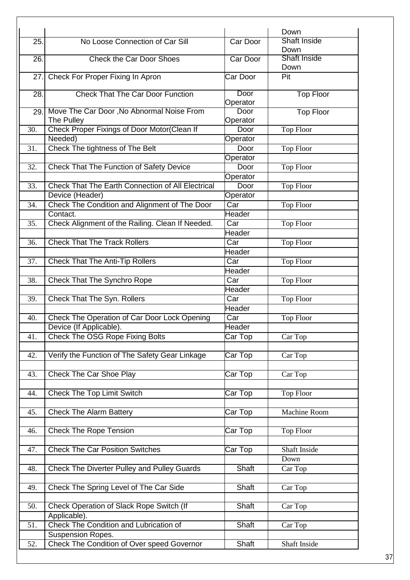|      |                                                          |                  | Down                |
|------|----------------------------------------------------------|------------------|---------------------|
| 25.  | No Loose Connection of Car Sill                          | Car Door         | Shaft Inside        |
|      |                                                          |                  | Down                |
| 26.  | <b>Check the Car Door Shoes</b>                          | Car Door         | <b>Shaft Inside</b> |
|      |                                                          |                  | Down                |
| 27.  | Check For Proper Fixing In Apron                         | Car Door         | Pit                 |
|      |                                                          |                  |                     |
| 28.  | <b>Check That The Car Door Function</b>                  | Door             | <b>Top Floor</b>    |
|      |                                                          | Operator         |                     |
| 29.1 | Move The Car Door, No Abnormal Noise From                | Door             | <b>Top Floor</b>    |
|      | The Pulley                                               | Operator         |                     |
| 30.  | Check Proper Fixings of Door Motor(Clean If              | Door             | <b>Top Floor</b>    |
|      | Needed)                                                  | Operator         |                     |
| 31.  | <b>Check The tightness of The Belt</b>                   | Door             | <b>Top Floor</b>    |
|      |                                                          | Operator         |                     |
| 32.  | <b>Check That The Function of Safety Device</b>          | Door             | <b>Top Floor</b>    |
|      |                                                          | Operator         |                     |
| 33.  | <b>Check That The Earth Connection of All Electrical</b> | Door             | <b>Top Floor</b>    |
|      | Device (Header)                                          | Operator         |                     |
| 34.  | Check The Condition and Alignment of The Door            | Car              | <b>Top Floor</b>    |
|      | Contact.                                                 | Header           |                     |
| 35.  | Check Alignment of the Railing. Clean If Needed.         | Car              | <b>Top Floor</b>    |
|      |                                                          | Header           |                     |
|      | <b>Check That The Track Rollers</b>                      | Car              |                     |
| 36.  |                                                          | Header           | <b>Top Floor</b>    |
|      |                                                          |                  |                     |
| 37.  | <b>Check That The Anti-Tip Rollers</b>                   | Car              | <b>Top Floor</b>    |
|      |                                                          | Header           |                     |
| 38.  | <b>Check That The Synchro Rope</b>                       | Car              | <b>Top Floor</b>    |
|      |                                                          | Header           |                     |
| 39.  | Check That The Syn. Rollers                              | Car              | <b>Top Floor</b>    |
|      |                                                          | <b>Header</b>    |                     |
| 40.  | Check The Operation of Car Door Lock Opening             | $\overline{Car}$ | <b>Top Floor</b>    |
|      | Device (If Applicable).                                  | Header           |                     |
| 41.  | Check The OSG Rope Fixing Bolts                          | Car Top          | Car Top             |
|      |                                                          |                  |                     |
| 42.  | Verify the Function of The Safety Gear Linkage           | Car Top          | Car Top             |
|      |                                                          |                  |                     |
| 43.  | <b>Check The Car Shoe Play</b>                           | Car Top          | Car Top             |
|      |                                                          |                  |                     |
| 44.  | <b>Check The Top Limit Switch</b>                        | Car Top          | <b>Top Floor</b>    |
|      |                                                          |                  |                     |
| 45.  | <b>Check The Alarm Battery</b>                           | Car Top          | <b>Machine Room</b> |
|      |                                                          |                  |                     |
| 46.  | <b>Check The Rope Tension</b>                            | Car Top          | <b>Top Floor</b>    |
|      |                                                          |                  |                     |
| 47.  | <b>Check The Car Position Switches</b>                   | Car Top          | Shaft Inside        |
|      |                                                          |                  | Down                |
| 48.  | <b>Check The Diverter Pulley and Pulley Guards</b>       | Shaft            | Car Top             |
|      |                                                          |                  |                     |
| 49.  | Check The Spring Level of The Car Side                   | Shaft            | Car Top             |
|      |                                                          |                  |                     |
| 50.  | Check Operation of Slack Rope Switch (If                 | Shaft            | Car Top             |
|      | Applicable).                                             |                  |                     |
| 51.  | Check The Condition and Lubrication of                   | Shaft            | Car Top             |
|      | <b>Suspension Ropes.</b>                                 |                  |                     |
| 52.  | Check The Condition of Over speed Governor               | Shaft            | Shaft Inside        |
|      |                                                          |                  |                     |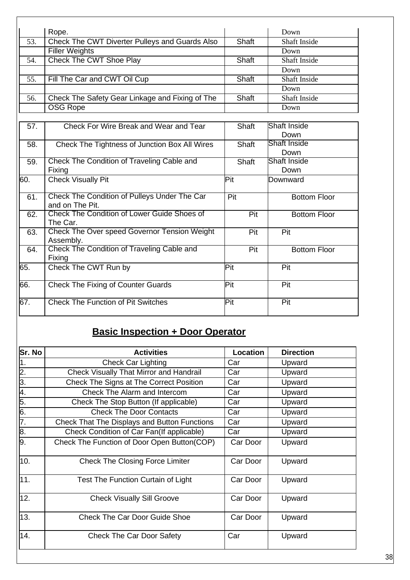|                   | Rope.                                                           |              | Down                |
|-------------------|-----------------------------------------------------------------|--------------|---------------------|
| $\overline{53}$ . | Check The CWT Diverter Pulleys and Guards Also                  | <b>Shaft</b> | <b>Shaft Inside</b> |
|                   | <b>Filler Weights</b>                                           |              | Down                |
| 54.               | <b>Check The CWT Shoe Play</b>                                  | Shaft        | <b>Shaft Inside</b> |
|                   |                                                                 |              | Down                |
| 55.               | Fill The Car and CWT Oil Cup                                    | <b>Shaft</b> | <b>Shaft Inside</b> |
|                   |                                                                 |              | Down                |
| 56.               | Check The Safety Gear Linkage and Fixing of The                 | Shaft        | <b>Shaft Inside</b> |
|                   | OSG Rope                                                        |              | Down                |
|                   |                                                                 |              |                     |
| 57.               | Check For Wire Break and Wear and Tear                          | Shaft        | <b>Shaft Inside</b> |
|                   |                                                                 |              | Down                |
| 58.               | Check The Tightness of Junction Box All Wires                   | Shaft        | Shaft Inside        |
|                   |                                                                 |              | Down                |
| 59.               | Check The Condition of Traveling Cable and                      | <b>Shaft</b> | Shaft Inside        |
|                   | Fixing                                                          |              | Down                |
| 60.               | <b>Check Visually Pit</b>                                       | Pit          | Downward            |
| 61.               | Check The Condition of Pulleys Under The Car<br>and on The Pit. | Pit          | <b>Bottom Floor</b> |
| 62.               | Check The Condition of Lower Guide Shoes of<br>The Car.         | Pit          | <b>Bottom Floor</b> |
| 63.               | Check The Over speed Governor Tension Weight<br>Assembly.       | Pit          | Pit                 |
| 64.               | Check The Condition of Traveling Cable and<br>Fixing            | Pit          | <b>Bottom Floor</b> |
| 65.               | Check The CWT Run by                                            | Pit          | Pit                 |
| 66.               | <b>Check The Fixing of Counter Guards</b>                       | Pit          | Pit                 |
| 67.               | <b>Check The Function of Pit Switches</b>                       | Pit          | Pit                 |

# **Basic Inspection + Door Operator**

| Sr. No           | <b>Activities</b>                                   | Location | <b>Direction</b> |
|------------------|-----------------------------------------------------|----------|------------------|
| 1.               | <b>Check Car Lighting</b>                           | Car      | Upward           |
| $\overline{2}$ . | <b>Check Visually That Mirror and Handrail</b>      | Car      | Upward           |
| $\overline{3}$ . | Check The Signs at The Correct Position             | Car      | Upward           |
| 4.               | Check The Alarm and Intercom                        | Car      | Upward           |
| 5.               | Check The Stop Button (If applicable)               | Car      | Upward           |
| 6.               | <b>Check The Door Contacts</b>                      | Car      | Upward           |
| 7.               | <b>Check That The Displays and Button Functions</b> | Car      | Upward           |
| 8.               | Check Condition of Car Fan(If applicable)           | Car      | Upward           |
| 9.               | Check The Function of Door Open Button(COP)         | Car Door | Upward           |
| 10.              | <b>Check The Closing Force Limiter</b>              | Car Door | Upward           |
| 11.              | Test The Function Curtain of Light                  | Car Door | Upward           |
| 12.              | <b>Check Visually Sill Groove</b>                   | Car Door | Upward           |
| 13.              | <b>Check The Car Door Guide Shoe</b>                | Car Door | Upward           |
| 14.              | <b>Check The Car Door Safety</b>                    | Car      | Upward           |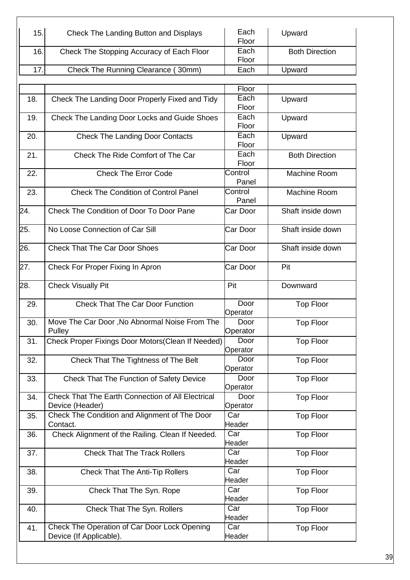| 15.  | Check The Landing Button and Displays     | Each<br>Floor | Upward                |
|------|-------------------------------------------|---------------|-----------------------|
| 16.  | Check The Stopping Accuracy of Each Floor | Each          | <b>Both Direction</b> |
|      |                                           | Floor         |                       |
| 17.1 | Check The Running Clearance (30mm)        | Each          | Upward                |
|      |                                           |               |                       |

 $\overline{\phantom{a}}$ 

|     |                                                   | Floor            |                       |
|-----|---------------------------------------------------|------------------|-----------------------|
| 18. | Check The Landing Door Properly Fixed and Tidy    | Each             | Upward                |
|     |                                                   | Floor            |                       |
|     |                                                   | Each             |                       |
| 19. | Check The Landing Door Locks and Guide Shoes      | Floor            | Upward                |
|     |                                                   |                  |                       |
| 20. | <b>Check The Landing Door Contacts</b>            | Each             | Upward                |
|     |                                                   | Floor            |                       |
| 21. | Check The Ride Comfort of The Car                 | Each             | <b>Both Direction</b> |
|     |                                                   | Floor            |                       |
| 22. | <b>Check The Error Code</b>                       | Control          | <b>Machine Room</b>   |
|     |                                                   | Panel            |                       |
| 23. | <b>Check The Condition of Control Panel</b>       | Control          | <b>Machine Room</b>   |
|     |                                                   | Panel            |                       |
| 24. | <b>Check The Condition of Door To Door Pane</b>   | Car Door         | Shaft inside down     |
|     |                                                   |                  |                       |
| 25. | No Loose Connection of Car Sill                   | Car Door         | Shaft inside down     |
|     |                                                   |                  |                       |
| 26. | <b>Check That The Car Door Shoes</b>              |                  |                       |
|     |                                                   | Car Door         | Shaft inside down     |
|     |                                                   |                  |                       |
| 27. | Check For Proper Fixing In Apron                  | Car Door         | Pit                   |
|     |                                                   |                  |                       |
| 28. | <b>Check Visually Pit</b>                         | Pit              | Downward              |
|     |                                                   |                  |                       |
| 29. | <b>Check That The Car Door Function</b>           | Door             | <b>Top Floor</b>      |
|     |                                                   | Operator         |                       |
| 30. | Move The Car Door, No Abnormal Noise From The     | Door             | <b>Top Floor</b>      |
|     | Pulley                                            | Operator         |                       |
| 31. | Check Proper Fixings Door Motors(Clean If Needed) | Door             | <b>Top Floor</b>      |
|     |                                                   | Operator         |                       |
| 32. | Check That The Tightness of The Belt              | Door             | <b>Top Floor</b>      |
|     |                                                   | Operator         |                       |
| 33. |                                                   | Door             |                       |
|     | Check That The Function of Safety Device          |                  | <b>Top Floor</b>      |
|     |                                                   | Operator         |                       |
| 34. | Check That The Earth Connection of All Electrical | Door             | <b>Top Floor</b>      |
|     | Device (Header)                                   | Operator         |                       |
| 35. | Check The Condition and Alignment of The Door     | Car              | <b>Top Floor</b>      |
|     | Contact.                                          | Header           |                       |
| 36. | Check Alignment of the Railing. Clean If Needed.  | Car              | <b>Top Floor</b>      |
|     |                                                   | Header           |                       |
| 37. | <b>Check That The Track Rollers</b>               | Car              | Top Floor             |
|     |                                                   | Header           |                       |
| 38. | <b>Check That The Anti-Tip Rollers</b>            | Car              | <b>Top Floor</b>      |
|     |                                                   | Header           |                       |
| 39. | Check That The Syn. Rope                          | Car              | <b>Top Floor</b>      |
|     |                                                   | Header           |                       |
|     |                                                   | Car              |                       |
| 40. | Check That The Syn. Rollers                       |                  | <b>Top Floor</b>      |
|     |                                                   | Header           |                       |
| 41. | Check The Operation of Car Door Lock Opening      | $\overline{Car}$ | <b>Top Floor</b>      |
|     | Device (If Applicable).                           | Header           |                       |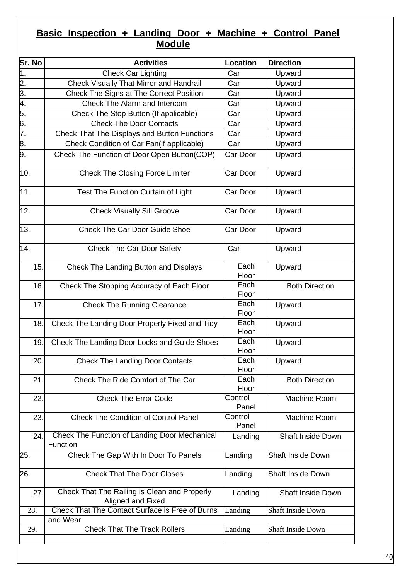# **Basic Inspection + Landing Door + Machine + Control Panel Module**

| Sr. No           | <b>Activities</b>                                                 | <b>Location</b>  | <b>Direction</b>         |
|------------------|-------------------------------------------------------------------|------------------|--------------------------|
| $\overline{1}$ . | <b>Check Car Lighting</b>                                         | Car              | Upward                   |
| 2.               | <b>Check Visually That Mirror and Handrail</b>                    | Car              | Upward                   |
| 3.               | Check The Signs at The Correct Position                           | Car              | Upward                   |
| 4.               | Check The Alarm and Intercom                                      | Car              | Upward                   |
| 5.               | Check The Stop Button (If applicable)                             | Car              | Upward                   |
| $\overline{6}$ . | <b>Check The Door Contacts</b>                                    | Car              | Upward                   |
| 7.               | Check That The Displays and Button Functions                      | Car              | Upward                   |
| 8.               | Check Condition of Car Fan(if applicable)                         | Car              | Upward                   |
| 9.               | Check The Function of Door Open Button(COP)                       | Car Door         | Upward                   |
| 10.              | <b>Check The Closing Force Limiter</b>                            | Car Door         | Upward                   |
| 11.              | Test The Function Curtain of Light                                | Car Door         | Upward                   |
| 12.              | <b>Check Visually Sill Groove</b>                                 | Car Door         | Upward                   |
| 13.              | <b>Check The Car Door Guide Shoe</b>                              | Car Door         | Upward                   |
| 14.              | <b>Check The Car Door Safety</b>                                  | Car              | Upward                   |
| 15.              | Check The Landing Button and Displays                             | Each<br>Floor    | Upward                   |
| 16.              | Check The Stopping Accuracy of Each Floor                         | Each<br>Floor    | <b>Both Direction</b>    |
| 17.              | <b>Check The Running Clearance</b>                                | Each<br>Floor    | Upward                   |
| 18.              | Check The Landing Door Properly Fixed and Tidy                    | Each<br>Floor    | Upward                   |
| 19.              | Check The Landing Door Locks and Guide Shoes                      | Each<br>Floor    | Upward                   |
| 20.              | <b>Check The Landing Door Contacts</b>                            | Each<br>Floor    | Upward                   |
| 21.              | Check The Ride Comfort of The Car                                 | Each<br>Floor    | <b>Both Direction</b>    |
| 22.              | <b>Check The Error Code</b>                                       | Control<br>Panel | Machine Room             |
| 23.              | <b>Check The Condition of Control Panel</b>                       | Control<br>Panel | Machine Room             |
| 24.              | Check The Function of Landing Door Mechanical<br>Function         | Landing          | <b>Shaft Inside Down</b> |
| 25.              | Check The Gap With In Door To Panels                              | Landing          | <b>Shaft Inside Down</b> |
| 26.              | <b>Check That The Door Closes</b>                                 | Landing          | <b>Shaft Inside Down</b> |
| 27.              | Check That The Railing is Clean and Properly<br>Aligned and Fixed | Landing          | <b>Shaft Inside Down</b> |
| 28.              | Check That The Contact Surface is Free of Burns                   | Landing          | <b>Shaft Inside Down</b> |
|                  | and Wear                                                          |                  |                          |
| 29.              | <b>Check That The Track Rollers</b>                               | Landing          | <b>Shaft Inside Down</b> |
|                  |                                                                   |                  |                          |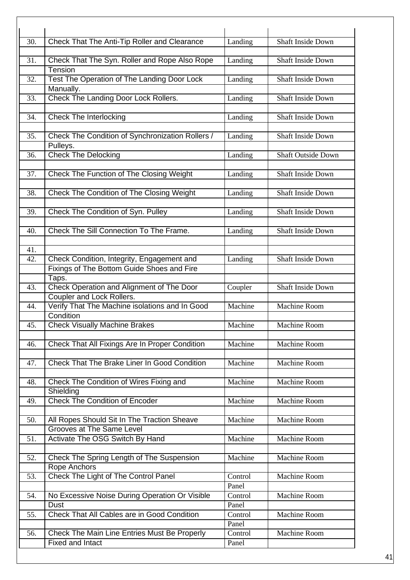| 30. | Check That The Anti-Tip Roller and Clearance        | Landing | Shaft Inside Down         |
|-----|-----------------------------------------------------|---------|---------------------------|
|     |                                                     |         |                           |
| 31. | Check That The Syn. Roller and Rope Also Rope       | Landing | Shaft Inside Down         |
|     | Tension                                             |         |                           |
| 32. | Test The Operation of The Landing Door Lock         | Landing | <b>Shaft Inside Down</b>  |
|     | Manually.                                           |         |                           |
| 33. | Check The Landing Door Lock Rollers.                | Landing | Shaft Inside Down         |
|     |                                                     |         |                           |
| 34. | <b>Check The Interlocking</b>                       | Landing | <b>Shaft Inside Down</b>  |
|     |                                                     |         |                           |
| 35. | Check The Condition of Synchronization Rollers /    | Landing | <b>Shaft Inside Down</b>  |
|     | Pulleys.                                            |         |                           |
| 36. | <b>Check The Delocking</b>                          | Landing | <b>Shaft Outside Down</b> |
| 37. | Check The Function of The Closing Weight            | Landing | Shaft Inside Down         |
|     |                                                     |         |                           |
| 38. | Check The Condition of The Closing Weight           | Landing | <b>Shaft Inside Down</b>  |
|     |                                                     |         |                           |
| 39. | Check The Condition of Syn. Pulley                  | Landing | Shaft Inside Down         |
|     |                                                     |         |                           |
| 40. | Check The Sill Connection To The Frame.             | Landing | Shaft Inside Down         |
|     |                                                     |         |                           |
| 41. |                                                     |         |                           |
| 42. | Check Condition, Integrity, Engagement and          | Landing | <b>Shaft Inside Down</b>  |
|     | Fixings of The Bottom Guide Shoes and Fire          |         |                           |
|     | Taps.                                               |         |                           |
| 43. | Check Operation and Alignment of The Door           | Coupler | <b>Shaft Inside Down</b>  |
|     | Coupler and Lock Rollers.                           |         |                           |
| 44. | Verify That The Machine isolations and In Good      | Machine | <b>Machine Room</b>       |
|     | Condition                                           |         |                           |
| 45. | <b>Check Visually Machine Brakes</b>                | Machine | <b>Machine Room</b>       |
|     |                                                     |         |                           |
| 46. | Check That All Fixings Are In Proper Condition      | Machine | <b>Machine Room</b>       |
|     |                                                     |         |                           |
| 47. | <b>Check That The Brake Liner In Good Condition</b> | Machine | Machine Room              |
|     |                                                     |         |                           |
| 48. | Check The Condition of Wires Fixing and             | Machine | <b>Machine Room</b>       |
|     | Shielding<br><b>Check The Condition of Encoder</b>  |         | <b>Machine Room</b>       |
| 49. |                                                     | Machine |                           |
| 50. | All Ropes Should Sit In The Traction Sheave         | Machine | <b>Machine Room</b>       |
|     | Grooves at The Same Level                           |         |                           |
| 51. | Activate The OSG Switch By Hand                     | Machine | <b>Machine Room</b>       |
|     |                                                     |         |                           |
| 52. | Check The Spring Length of The Suspension           | Machine | <b>Machine Room</b>       |
|     | <b>Rope Anchors</b>                                 |         |                           |
| 53. | Check The Light of The Control Panel                | Control | Machine Room              |
|     |                                                     | Panel   |                           |
| 54. | No Excessive Noise During Operation Or Visible      | Control | Machine Room              |
|     | Dust                                                | Panel   |                           |
| 55. | Check That All Cables are in Good Condition         | Control | <b>Machine Room</b>       |
|     |                                                     | Panel   |                           |
| 56. | Check The Main Line Entries Must Be Properly        | Control | Machine Room              |
|     | <b>Fixed and Intact</b>                             | Panel   |                           |
|     |                                                     |         |                           |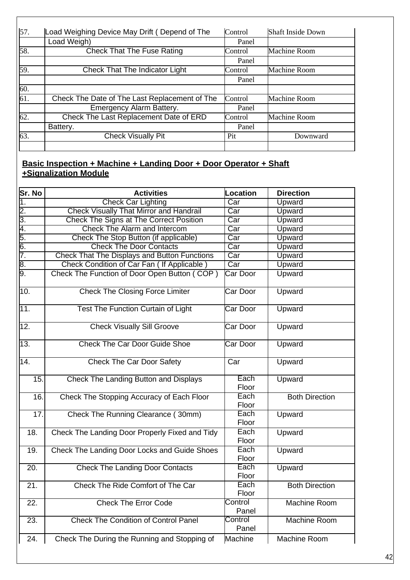| 57. | Load Weighing Device May Drift (Depend of The | Control | <b>Shaft Inside Down</b> |
|-----|-----------------------------------------------|---------|--------------------------|
|     | Load Weigh)                                   | Panel   |                          |
| 58. | <b>Check That The Fuse Rating</b>             | Control | <b>Machine Room</b>      |
|     |                                               | Panel   |                          |
| 59. | <b>Check That The Indicator Light</b>         | Control | <b>Machine Room</b>      |
|     |                                               | Panel   |                          |
| 60. |                                               |         |                          |
| 61. | Check The Date of The Last Replacement of The | Control | <b>Machine Room</b>      |
|     | Emergency Alarm Battery.                      | Panel   |                          |
| 62. | Check The Last Replacement Date of ERD        | Control | <b>Machine Room</b>      |
|     | Battery.                                      | Panel   |                          |
| 63. | <b>Check Visually Pit</b>                     | Pit     | Downward                 |
|     |                                               |         |                          |

# **Basic Inspection + Machine + Landing Door + Door Operator + Shaft +Signalization Module**

 $\mathsf I$ 

| Sr. No                                           | <b>Activities</b>                                   | <b>Location</b>         | <b>Direction</b>      |
|--------------------------------------------------|-----------------------------------------------------|-------------------------|-----------------------|
| 1.                                               | <b>Check Car Lighting</b>                           | $\overline{\text{Car}}$ | Upward                |
| $2.\overline{)3.4.5.6}$<br>$7.\overline{)7.5.6}$ | <b>Check Visually That Mirror and Handrail</b>      | $\overline{\text{Car}}$ | Upward                |
|                                                  | <b>Check The Signs at The Correct Position</b>      | Car                     | Upward                |
|                                                  | Check The Alarm and Intercom                        | Car                     | Upward                |
|                                                  | Check The Stop Button (if applicable)               | Car                     | Upward                |
|                                                  | <b>Check The Door Contacts</b>                      | Car                     | Upward                |
|                                                  | <b>Check That The Displays and Button Functions</b> | $\overline{Car}$        | Upward                |
| $rac{1}{9}$                                      | Check Condition of Car Fan (If Applicable)          | $\overline{\text{Car}}$ | Upward                |
|                                                  | Check The Function of Door Open Button (COP)        | Car Door                | Upward                |
| 10.                                              | <b>Check The Closing Force Limiter</b>              | Car Door                | Upward                |
| 11.                                              | <b>Test The Function Curtain of Light</b>           | <b>Car Door</b>         | Upward                |
| 12.                                              | <b>Check Visually Sill Groove</b>                   | Car Door                | Upward                |
| 13.                                              | <b>Check The Car Door Guide Shoe</b>                | Car Door                | Upward                |
| 14.                                              | <b>Check The Car Door Safety</b>                    | $\overline{Car}$        | Upward                |
| 15.                                              | <b>Check The Landing Button and Displays</b>        | Each<br>Floor           | Upward                |
| 16.                                              | Check The Stopping Accuracy of Each Floor           | Each<br>Floor           | <b>Both Direction</b> |
| 17.                                              | Check The Running Clearance (30mm)                  | Each<br>Floor           | Upward                |
| 18.                                              | Check The Landing Door Properly Fixed and Tidy      | Each<br>Floor           | Upward                |
| 19.                                              | Check The Landing Door Locks and Guide Shoes        | Each<br>Floor           | Upward                |
| $\overline{20}$ .                                | <b>Check The Landing Door Contacts</b>              | Each<br>Floor           | Upward                |
| 21.                                              | Check The Ride Comfort of The Car                   | Each<br>Floor           | <b>Both Direction</b> |
| $\overline{22}$ .                                | <b>Check The Error Code</b>                         | Control<br>Panel        | <b>Machine Room</b>   |
| 23.                                              | <b>Check The Condition of Control Panel</b>         | Control<br>Panel        | <b>Machine Room</b>   |
| 24.                                              | Check The During the Running and Stopping of        | Machine                 | <b>Machine Room</b>   |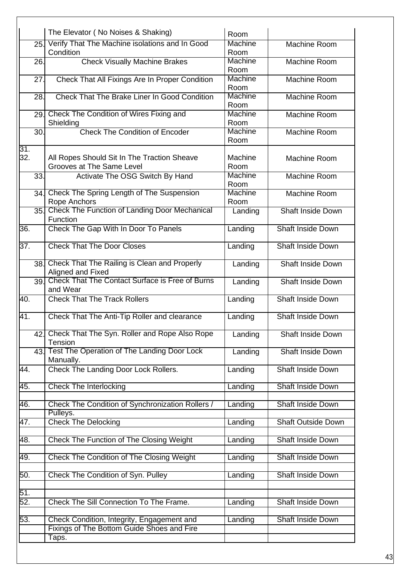|                   | The Elevator (No Noises & Shaking)                                                           | Room                                                                                                                                                           |                           |
|-------------------|----------------------------------------------------------------------------------------------|----------------------------------------------------------------------------------------------------------------------------------------------------------------|---------------------------|
| 25.               | Condition                                                                                    | <b>Machine</b><br>Room                                                                                                                                         | <b>Machine Room</b>       |
| 26.               | <b>Check Visually Machine Brakes</b>                                                         | Machine<br>Room                                                                                                                                                | Machine Room              |
| 27.               | Check That All Fixings Are In Proper Condition                                               | <b>Machine</b><br>Room                                                                                                                                         | Machine Room              |
| 28.               | <b>Check That The Brake Liner In Good Condition</b>                                          | Machine                                                                                                                                                        | Machine Room              |
| 29.               | Check The Condition of Wires Fixing and                                                      | Machine                                                                                                                                                        | Machine Room              |
| $\overline{30}$   | <b>Check The Condition of Encoder</b>                                                        | Machine<br>Room                                                                                                                                                | Machine Room              |
|                   | All Ropes Should Sit In The Traction Sheave<br>Grooves at The Same Level                     | Machine<br>Room                                                                                                                                                | Machine Room              |
| 33.               | Activate The OSG Switch By Hand                                                              | Machine<br>Room                                                                                                                                                | Machine Room              |
| $\overline{34}$   | Check The Spring Length of The Suspension<br>Rope Anchors                                    | Machine<br>Room                                                                                                                                                | Machine Room              |
| $\overline{35}$ . | <b>Check The Function of Landing Door Mechanical</b><br>Function                             | Landing                                                                                                                                                        | <b>Shaft Inside Down</b>  |
|                   | Check The Gap With In Door To Panels                                                         | Landing                                                                                                                                                        | <b>Shaft Inside Down</b>  |
|                   | <b>Check That The Door Closes</b>                                                            | Landing                                                                                                                                                        | <b>Shaft Inside Down</b>  |
| $\overline{38}$   | Check That The Railing is Clean and Properly                                                 | Landing                                                                                                                                                        | <b>Shaft Inside Down</b>  |
| $\overline{39}$   | <b>Check That The Contact Surface is Free of Burns</b><br>and Wear                           | Landing                                                                                                                                                        | <b>Shaft Inside Down</b>  |
|                   | <b>Check That The Track Rollers</b>                                                          | Landing                                                                                                                                                        | <b>Shaft Inside Down</b>  |
|                   | Check That The Anti-Tip Roller and clearance                                                 | Landing                                                                                                                                                        | <b>Shaft Inside Down</b>  |
|                   | Tension                                                                                      | Landing                                                                                                                                                        | <b>Shaft Inside Down</b>  |
| 43.               | Test The Operation of The Landing Door Lock                                                  | Landing                                                                                                                                                        | <b>Shaft Inside Down</b>  |
|                   | Check The Landing Door Lock Rollers.                                                         | Landing                                                                                                                                                        | <b>Shaft Inside Down</b>  |
|                   | <b>Check The Interlocking</b>                                                                | Landing                                                                                                                                                        | <b>Shaft Inside Down</b>  |
|                   | Check The Condition of Synchronization Rollers /                                             | Landing                                                                                                                                                        | <b>Shaft Inside Down</b>  |
|                   | <b>Check The Delocking</b>                                                                   | Landing                                                                                                                                                        | <b>Shaft Outside Down</b> |
|                   | Check The Function of The Closing Weight                                                     | Landing                                                                                                                                                        | <b>Shaft Inside Down</b>  |
|                   | Check The Condition of The Closing Weight                                                    | Landing                                                                                                                                                        | <b>Shaft Inside Down</b>  |
|                   | Check The Condition of Syn. Pulley                                                           | Landing                                                                                                                                                        | <b>Shaft Inside Down</b>  |
|                   |                                                                                              |                                                                                                                                                                |                           |
|                   |                                                                                              | Landing                                                                                                                                                        | <b>Shaft Inside Down</b>  |
|                   | <b>Check The Sill Connection To The Frame.</b><br>Check Condition, Integrity, Engagement and | Landing                                                                                                                                                        | <b>Shaft Inside Down</b>  |
|                   |                                                                                              | Verify That The Machine isolations and In Good<br>Shielding<br>Aligned and Fixed<br>42. Check That The Syn. Roller and Rope Also Rope<br>Manually.<br>Pulleys. | Room<br>Room              |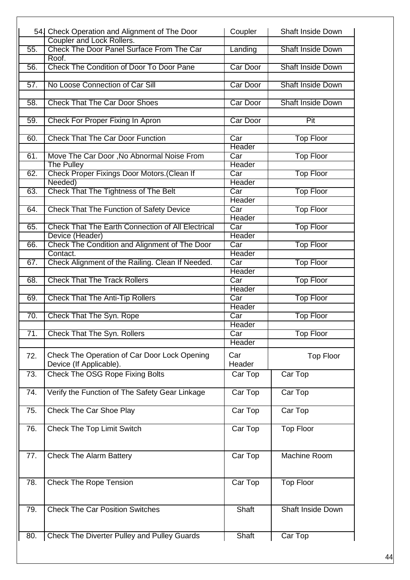|     | 54. Check Operation and Alignment of The Door            | Coupler                 | <b>Shaft Inside Down</b> |
|-----|----------------------------------------------------------|-------------------------|--------------------------|
|     | <b>Coupler and Lock Rollers.</b>                         |                         |                          |
| 55. | Check The Door Panel Surface From The Car                | Landing                 | <b>Shaft Inside Down</b> |
|     | Roof.                                                    |                         |                          |
| 56. | Check The Condition of Door To Door Pane                 | Car Door                | <b>Shaft Inside Down</b> |
|     |                                                          |                         |                          |
| 57. | No Loose Connection of Car Sill                          | Car Door                | <b>Shaft Inside Down</b> |
|     |                                                          |                         |                          |
| 58. | <b>Check That The Car Door Shoes</b>                     | Car Door                | <b>Shaft Inside Down</b> |
|     |                                                          |                         |                          |
| 59. | Check For Proper Fixing In Apron                         | Car Door                | Pit                      |
|     |                                                          |                         |                          |
| 60. | <b>Check That The Car Door Function</b>                  | Car                     | <b>Top Floor</b>         |
|     |                                                          | Header                  |                          |
| 61. | Move The Car Door, No Abnormal Noise From                | Car                     | <b>Top Floor</b>         |
|     | <b>The Pulley</b>                                        | Header                  |                          |
| 62. | Check Proper Fixings Door Motors. (Clean If              | Car                     | <b>Top Floor</b>         |
|     | Needed)                                                  | Header                  |                          |
| 63. | <b>Check That The Tightness of The Belt</b>              | Car                     | <b>Top Floor</b>         |
|     |                                                          | Header                  |                          |
| 64. | <b>Check That The Function of Safety Device</b>          | Car                     | <b>Top Floor</b>         |
|     |                                                          | Header                  |                          |
| 65. | <b>Check That The Earth Connection of All Electrical</b> | Car                     | <b>Top Floor</b>         |
|     | Device (Header)                                          | Header                  |                          |
| 66. | Check The Condition and Alignment of The Door            | Car                     | <b>Top Floor</b>         |
|     | Contact.                                                 | Header                  |                          |
| 67. | Check Alignment of the Railing. Clean If Needed.         | $\overline{Car}$        | <b>Top Floor</b>         |
|     |                                                          | Header                  |                          |
| 68. | <b>Check That The Track Rollers</b>                      | Car                     | <b>Top Floor</b>         |
|     |                                                          | Header                  |                          |
| 69. | <b>Check That The Anti-Tip Rollers</b>                   | Car                     | <b>Top Floor</b>         |
|     |                                                          | Header                  |                          |
| 70. | <b>Check That The Syn. Rope</b>                          | Car<br>Header           | <b>Top Floor</b>         |
| 71. | <b>Check That The Syn. Rollers</b>                       | $\overline{\text{Car}}$ | <b>Top Floor</b>         |
|     |                                                          | Header                  |                          |
|     |                                                          |                         |                          |
| 72. | Check The Operation of Car Door Lock Opening             | Car                     | <b>Top Floor</b>         |
|     | Device (If Applicable).                                  | Header                  |                          |
| 73. | Check The OSG Rope Fixing Bolts                          | Car Top                 | Car Top                  |
|     |                                                          |                         |                          |
| 74. | Verify the Function of The Safety Gear Linkage           | Car Top                 | Car Top                  |
|     |                                                          |                         |                          |
| 75. | <b>Check The Car Shoe Play</b>                           | Car Top                 | Car Top                  |
|     |                                                          |                         |                          |
| 76. | <b>Check The Top Limit Switch</b>                        | Car Top                 | <b>Top Floor</b>         |
|     |                                                          |                         |                          |
|     |                                                          |                         |                          |
| 77. | <b>Check The Alarm Battery</b>                           | Car Top                 | Machine Room             |
|     |                                                          |                         |                          |
|     |                                                          |                         |                          |
| 78. | <b>Check The Rope Tension</b>                            | Car Top                 | <b>Top Floor</b>         |
|     |                                                          |                         |                          |
|     |                                                          |                         |                          |
| 79. | <b>Check The Car Position Switches</b>                   | Shaft                   | Shaft Inside Down        |
|     |                                                          |                         |                          |
|     |                                                          |                         |                          |
| 80. | <b>Check The Diverter Pulley and Pulley Guards</b>       | Shaft                   | Car Top                  |
|     |                                                          |                         |                          |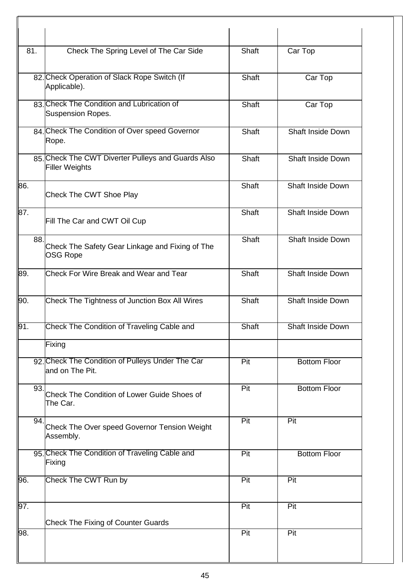| 81. | Check The Spring Level of The Car Side                                      | Shaft        | Car Top                  |
|-----|-----------------------------------------------------------------------------|--------------|--------------------------|
|     | 82. Check Operation of Slack Rope Switch (If<br>Applicable).                | Shaft        | Car Top                  |
|     | 83. Check The Condition and Lubrication of<br><b>Suspension Ropes.</b>      | Shaft        | Car Top                  |
|     | 84. Check The Condition of Over speed Governor<br>Rope.                     | Shaft        | <b>Shaft Inside Down</b> |
|     | 85. Check The CWT Diverter Pulleys and Guards Also<br><b>Filler Weights</b> | <b>Shaft</b> | <b>Shaft Inside Down</b> |
| 86. | <b>Check The CWT Shoe Play</b>                                              | Shaft        | <b>Shaft Inside Down</b> |
| 87. | Fill The Car and CWT Oil Cup                                                | Shaft        | <b>Shaft Inside Down</b> |
| 88. | Check The Safety Gear Linkage and Fixing of The<br><b>OSG Rope</b>          | Shaft        | Shaft Inside Down        |
| 89. | <b>Check For Wire Break and Wear and Tear</b>                               | Shaft        | <b>Shaft Inside Down</b> |
| 90. | Check The Tightness of Junction Box All Wires                               | Shaft        | <b>Shaft Inside Down</b> |
| 91. | Check The Condition of Traveling Cable and                                  | <b>Shaft</b> | Shaft Inside Down        |
|     | Fixing                                                                      |              |                          |
|     | 92. Check The Condition of Pulleys Under The Car<br>and on The Pit.         | Pit          | <b>Bottom Floor</b>      |
| 93. | Check The Condition of Lower Guide Shoes of<br>The Car.                     | Pit          | <b>Bottom Floor</b>      |
| 94. | Check The Over speed Governor Tension Weight<br>Assembly.                   | Pit          | Pit                      |
|     | 95. Check The Condition of Traveling Cable and<br>Fixing                    | Pit          | <b>Bottom Floor</b>      |
| 96. | Check The CWT Run by                                                        | Pit          | Pit                      |
| 97. | <b>Check The Fixing of Counter Guards</b>                                   | Pit          | Pit                      |
| 98. |                                                                             | Pit          | Pit                      |
|     |                                                                             |              |                          |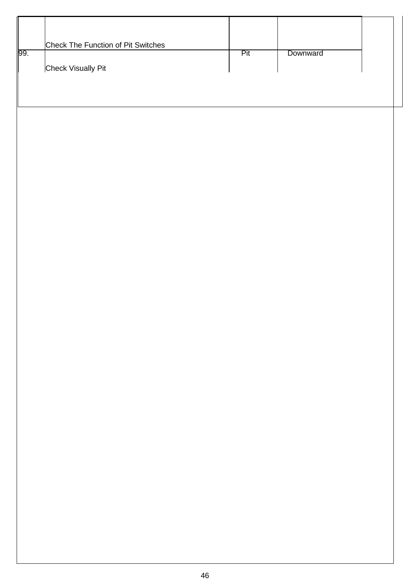|                 | Check The Function of Pit Switches |     |          |  |
|-----------------|------------------------------------|-----|----------|--|
| $\overline{99}$ | <b>Check Visually Pit</b>          | Pit | Downward |  |
|                 |                                    |     |          |  |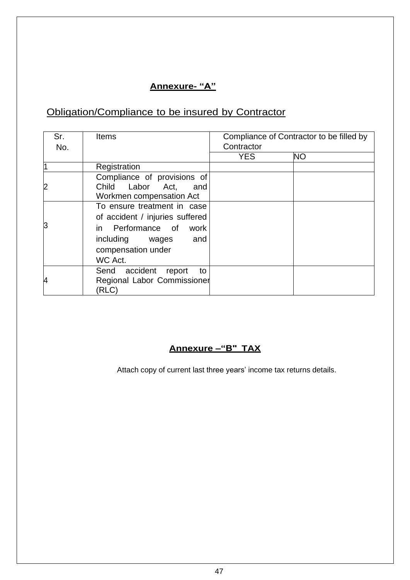# **Annexure- "A"**

# Obligation/Compliance to be insured by Contractor

| Sr.            | <b>Items</b>                                                                                                                                        |            | Compliance of Contractor to be filled by |
|----------------|-----------------------------------------------------------------------------------------------------------------------------------------------------|------------|------------------------------------------|
| No.            |                                                                                                                                                     | Contractor |                                          |
|                |                                                                                                                                                     | <b>YES</b> | <b>NO</b>                                |
|                | Registration                                                                                                                                        |            |                                          |
| $\overline{c}$ | Compliance of provisions of<br>Child Labor Act,<br>and<br>Workmen compensation Act                                                                  |            |                                          |
| З              | To ensure treatment in case<br>of accident / injuries suffered<br>in Performance of work<br>including wages<br>and<br>compensation under<br>WC Act. |            |                                          |
| 4              | Send accident<br>report<br>to<br>Regional Labor Commissioner<br>(RLC)                                                                               |            |                                          |

# **Annexure –"B" TAX**

Attach copy of current last three years' income tax returns details.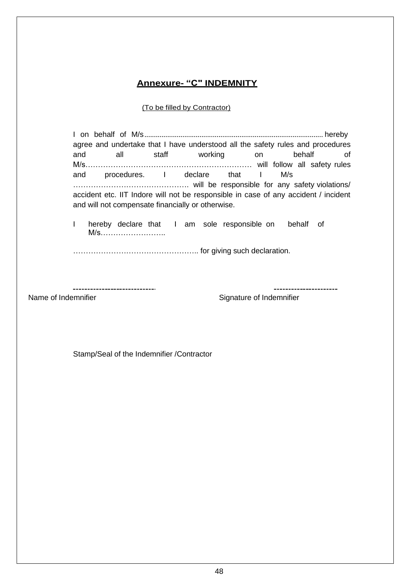# **Annexure- "C" INDEMNITY**

#### (To be filled by Contractor)

I on behalf of M/s.............................................................................................. hereby agree and undertake that I have understood all the safety rules and procedures and all staff working on behalf of M/s………………………………………………………… will follow all safety rules and procedures. I declare that I M/s ………………………………………. will be responsible for any safety violations/ accident etc. IIT Indore will not be responsible in case of any accident / incident and will not compensate financially or otherwise. I hereby declare that I am sole responsible on behalf of M/s…………………….. ………………………………………….. for giving such declaration.

Name of Indemnifier **Name of Indemnifier** Signature of Indemnifier

----------------------

Stamp/Seal of the Indemnifier /Contractor

-----------------------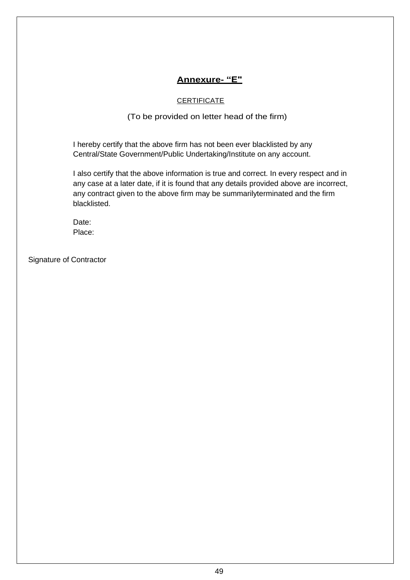# **Annexure- "E"**

### **CERTIFICATE**

### (To be provided on letter head of the firm)

I hereby certify that the above firm has not been ever blacklisted by any Central/State Government/Public Undertaking/Institute on any account.

I also certify that the above information is true and correct. In every respect and in any case at a later date, if it is found that any details provided above are incorrect, any contract given to the above firm may be summarilyterminated and the firm blacklisted.

Date: Place:

Signature of Contractor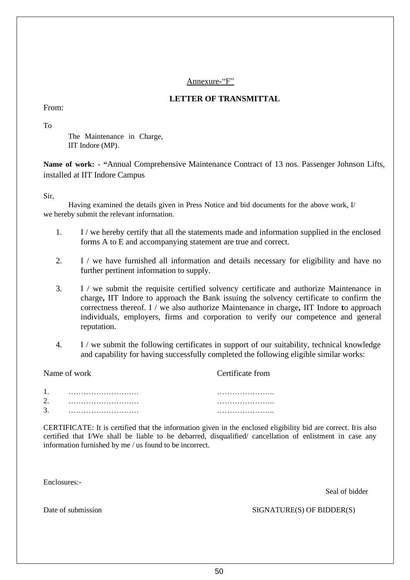#### Annexure-"F"

### **LETTER OF TRANSMITTAL**

From:

To

The Maintenance in Charge, IIT Indore (MP).

**Name of work: - "**Annual Comprehensive Maintenance Contract of 13 nos. Passenger Johnson Lifts, installed at IIT Indore Campus

Sir,

Having examined the details given in Press Notice and bid documents for the above work, I/ we hereby submit the relevant information.

- 1. I / we hereby certify that all the statements made and information supplied in the enclosed forms A to E and accompanying statement are true and correct.
- 2. I / we have furnished all information and details necessary for eligibility and have no further pertinent information to supply.
- 3. I / we submit the requisite certified solvency certificate and authorize Maintenance in charge**,** IIT Indore to approach the Bank issuing the solvency certificate to confirm the correctness thereof. I / we also authorize Maintenance in charge**,** IIT Indore **t**o approach individuals, employers, firms and corporation to verify our competence and general reputation.
- 4. I / we submit the following certificates in support of our suitability, technical knowledge and capability for having successfully completed the following eligible similar works:

Name of work Certificate from 1. ………………………. ………………….. 2. ………………………. ………………….. 3. ………………………. …………………..

CERTIFICATE: It is certified that the information given in the enclosed eligibility bid are correct. Itis also certified that I/We shall be liable to be debarred, disqualified/ cancellation of enlistment in case any information furnished by me / us found to be incorrect.

Enclosures:-

Seal of bidder

Date of submission SIGNATURE(S) OF BIDDER(S)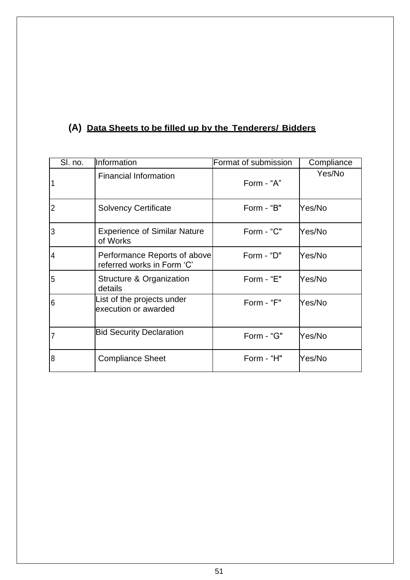# **(A) Data Sheets to be filled up by the Tenderers/ Bidders**

| SI. no.        | Information                                                | Format of submission | Compliance |
|----------------|------------------------------------------------------------|----------------------|------------|
|                | <b>Financial Information</b>                               | Form - "A"           | Yes/No     |
| $\overline{2}$ | <b>Solvency Certificate</b>                                | Form - "B"           | Yes/No     |
| 3              | <b>Experience of Similar Nature</b><br>of Works            | Form - "C"           | Yes/No     |
| 4              | Performance Reports of above<br>referred works in Form 'C' | Form - "D"           | Yes/No     |
| 5              | Structure & Organization<br>details                        | Form - "E"           | Yes/No     |
| 6              | List of the projects under<br>execution or awarded         | Form - "F"           | Yes/No     |
| 7              | <b>Bid Security Declaration</b>                            | Form - "G"           | Yes/No     |
| 8              | <b>Compliance Sheet</b>                                    | Form - "H"           | Yes/No     |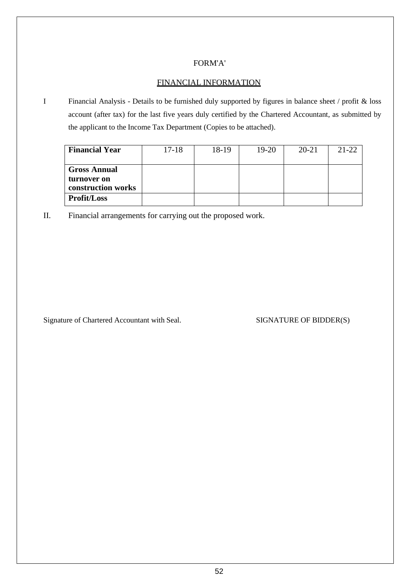## FORM'A'

# FINANCIAL INFORMATION

I Financial Analysis - Details to be furnished duly supported by figures in balance sheet / profit & loss account (after tax) for the last five years duly certified by the Chartered Accountant, as submitted by the applicant to the Income Tax Department (Copies to be attached).

| <b>Financial Year</b>                                    | $17 - 18$ | 18-19 | $19-20$ | $20 - 21$ | $21 - 22$ |
|----------------------------------------------------------|-----------|-------|---------|-----------|-----------|
| <b>Gross Annual</b><br>turnover on<br>construction works |           |       |         |           |           |
| <b>Profit/Loss</b>                                       |           |       |         |           |           |

II. Financial arrangements for carrying out the proposed work.

Signature of Chartered Accountant with Seal. SIGNATURE OF BIDDER(S)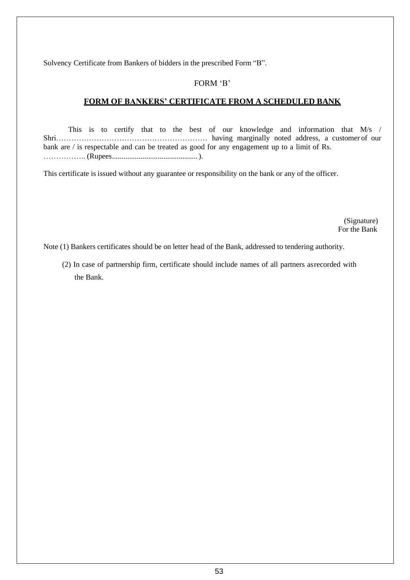Solvency Certificate from Bankers of bidders in the prescribed Form "B".

### FORM 'B'

### **FORM OF BANKERS' CERTIFICATE FROM A SCHEDULED BANK**

This is to certify that to the best of our knowledge and information that M/s / Shri…………………………………………………… having marginally noted address, a customer of our bank are / is respectable and can be treated as good for any engagement up to a limit of Rs. …………….. (Rupees.............................................).

This certificate is issued without any guarantee or responsibility on the bank or any of the officer.

(Signature) For the Bank

Note (1) Bankers certificates should be on letter head of the Bank, addressed to tendering authority.

(2) In case of partnership firm, certificate should include names of all partners asrecorded with the Bank.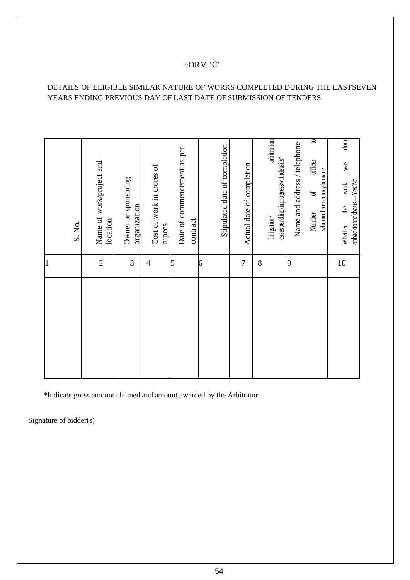# FORM 'C'

# DETAILS OF ELIGIBLE SIMILAR NATURE OF WORKS COMPLETED DURING THE LASTSEVEN YEARS ENDING PREVIOUS DAY OF LAST DATE OF SUBMISSION OF TENDERS

|                | S. No.                                                                     |
|----------------|----------------------------------------------------------------------------|
| $\overline{2}$ | Name of work/project and                                                   |
|                | location                                                                   |
| $\mathfrak{Z}$ | Owner or sponsoring<br>organization                                        |
| $\overline{4}$ | Cost of work in crores of<br>rupees                                        |
| 5              | Date of commencement as per<br>contract                                    |
| 6              | Stipulated date of completion                                              |
| 7              | Actual date of completion                                                  |
| 8              |                                                                            |
|                | arbitration<br>casespending/inprogresswithdetails*<br>Litigation/          |
| 9              | Name and address / telephone                                               |
|                | $\mathbf{c}$<br>officer<br>whomreferencemaybemade<br>$\sigma$<br>Number    |
| 10             | done<br>was<br>onbacktobackbasis-Yes/No<br>work<br>$\mathbf{d}$<br>Whether |

\*Indicate gross amount claimed and amount awarded by the Arbitrator.

Signature of bidder(s)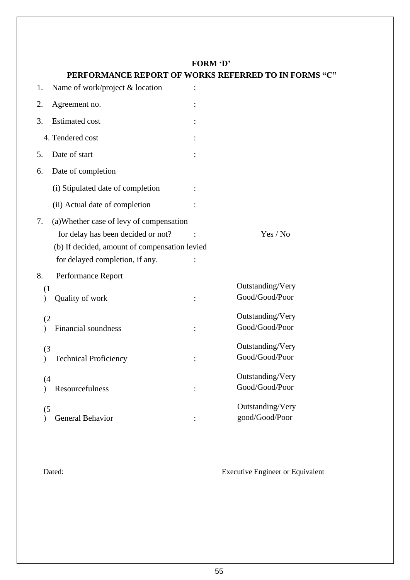# **FORM 'D'**

|     | UNMARCE NEI UNT UP                                                                                                                                                 | ONNO NEI ENNED TO IN FOI           |
|-----|--------------------------------------------------------------------------------------------------------------------------------------------------------------------|------------------------------------|
| 1.  | Name of work/project & location                                                                                                                                    |                                    |
| 2.  | Agreement no.                                                                                                                                                      |                                    |
| 3.  | <b>Estimated cost</b>                                                                                                                                              |                                    |
|     | 4. Tendered cost                                                                                                                                                   |                                    |
| 5.  | Date of start                                                                                                                                                      |                                    |
| 6.  | Date of completion                                                                                                                                                 |                                    |
|     | (i) Stipulated date of completion                                                                                                                                  |                                    |
|     | (ii) Actual date of completion                                                                                                                                     |                                    |
| 7.  | (a) Whether case of levy of compensation<br>for delay has been decided or not?<br>(b) If decided, amount of compensation levied<br>for delayed completion, if any. | Yes / No                           |
| 8.  | Performance Report                                                                                                                                                 |                                    |
| (1) | Quality of work                                                                                                                                                    | Outstanding/Very<br>Good/Good/Poor |
| (2) | Financial soundness                                                                                                                                                | Outstanding/Very<br>Good/Good/Poor |
| (3) | <b>Technical Proficiency</b>                                                                                                                                       | Outstanding/Very<br>Good/Good/Poor |
| (4) | Resourcefulness                                                                                                                                                    | Outstanding/Very<br>Good/Good/Poor |
| (5) | <b>General Behavior</b>                                                                                                                                            | Outstanding/Very<br>good/Good/Poor |

# **PERFORMANCE REPORT OF WORKS REFERRED TO IN FORMS "C"**

Dated: Executive Engineer or Equivalent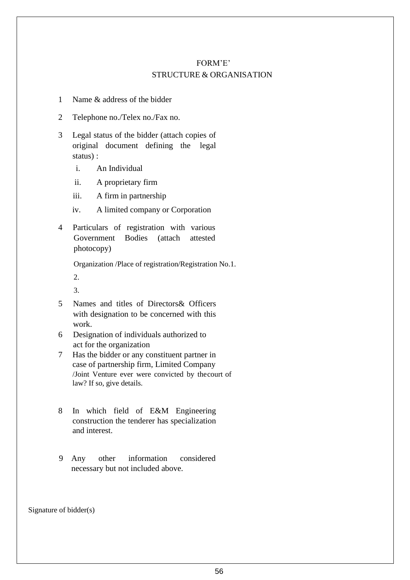# FORM'E' STRUCTURE & ORGANISATION

- 1 Name & address of the bidder
- 2 Telephone no./Telex no./Fax no.
- 3 Legal status of the bidder (attach copies of original document defining the legal status) :
	- i. An Individual
	- ii. A proprietary firm
	- iii. A firm in partnership
	- iv. A limited company or Corporation
- 4 Particulars of registration with various Government Bodies (attach attested photocopy)

Organization /Place of registration/Registration No.1. 2.

- 3.
- 5 Names and titles of Directors& Officers with designation to be concerned with this work.
- 6 Designation of individuals authorized to act for the organization
- 7 Has the bidder or any constituent partner in case of partnership firm, Limited Company /Joint Venture ever were convicted by thecourt of law? If so, give details.
- 8 In which field of E&M Engineering construction the tenderer has specialization and interest.
- 9 Any other information considered necessary but not included above.

Signature of bidder(s)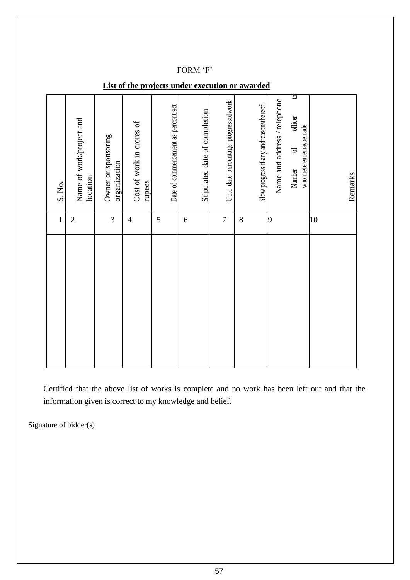#### FORM 'F'

| $\mathbf{1}$   | S. No.                                                                                             |
|----------------|----------------------------------------------------------------------------------------------------|
| $\overline{2}$ | Name of work/project and<br>location                                                               |
| 3              | Owner or sponsoring<br>organization                                                                |
| $\overline{4}$ | Cost of work in crores of<br>rupees                                                                |
| 5              | Date of commencement as percontract                                                                |
| 6              | Stipulated date of completion                                                                      |
| $\overline{7}$ | Upto date percentage progressofwork                                                                |
| 8              | Slow progress if any andreasonsthereof.                                                            |
| 9              | $\circ$<br>Name and address / telephone<br>officer<br>whomreferencemaybemade<br>$\sigma$<br>Number |
| 10             | Remarks                                                                                            |

# **List of the projects under execution or awarded**

Certified that the above list of works is complete and no work has been left out and that the information given is correct to my knowledge and belief.

Signature of bidder(s)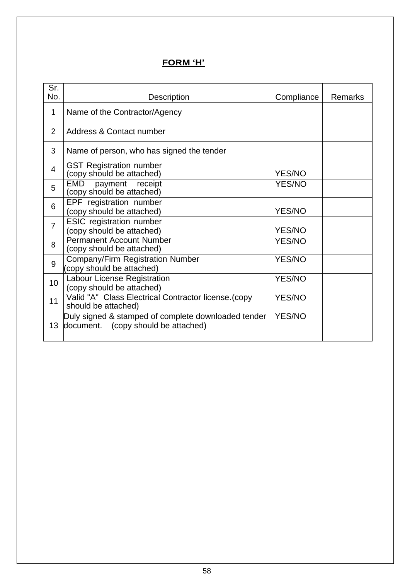# **FORM 'H'**

| Sr.<br>No.     | Description                                                                                | Compliance    | <b>Remarks</b> |
|----------------|--------------------------------------------------------------------------------------------|---------------|----------------|
| 1              | Name of the Contractor/Agency                                                              |               |                |
| $\overline{2}$ | Address & Contact number                                                                   |               |                |
| 3              | Name of person, who has signed the tender                                                  |               |                |
| $\overline{4}$ | <b>GST Registration number</b><br>(copy should be attached)                                | <b>YES/NO</b> |                |
| 5              | EMD<br>payment receipt<br>(copy should be attached)                                        | <b>YES/NO</b> |                |
| 6              | EPF registration number<br>(copy should be attached)                                       | <b>YES/NO</b> |                |
| $\overline{7}$ | <b>ESIC</b> registration number<br>(copy should be attached)                               | <b>YES/NO</b> |                |
| 8              | <b>Permanent Account Number</b><br>(copy should be attached)                               | <b>YES/NO</b> |                |
| 9              | <b>Company/Firm Registration Number</b><br>(copy should be attached)                       | <b>YES/NO</b> |                |
| 10             | Labour License Registration<br>(copy should be attached)                                   | <b>YES/NO</b> |                |
| 11             | Valid "A" Class Electrical Contractor license. (copy<br>should be attached)                | <b>YES/NO</b> |                |
| 13             | Duly signed & stamped of complete downloaded tender<br>document. (copy should be attached) | <b>YES/NO</b> |                |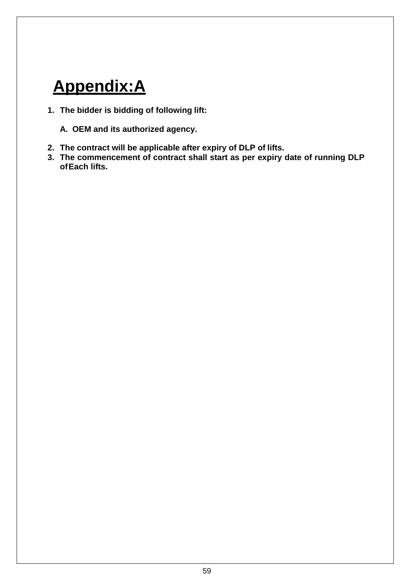# **Appendix:A**

- **1. The bidder is bidding of following lift:**
	- **A. OEM and its authorized agency.**
- **2. The contract will be applicable after expiry of DLP of lifts.**
- **3. The commencement of contract shall start as per expiry date of running DLP ofEach lifts.**